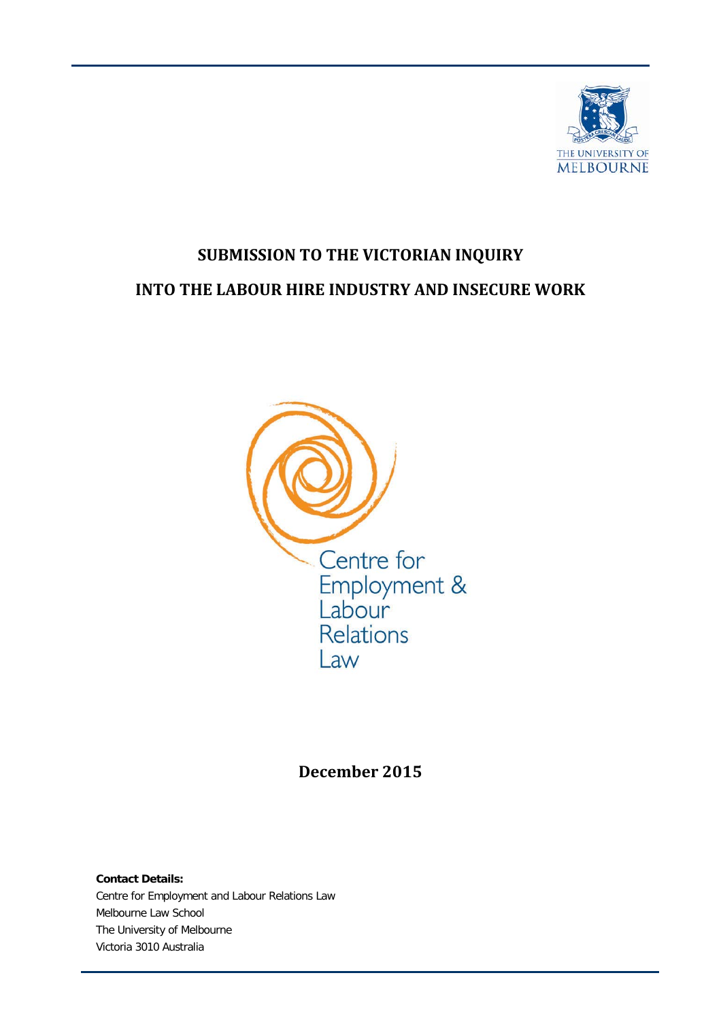

# **SUBMISSION TO THE VICTORIAN INQUIRY INTO THE LABOUR HIRE INDUSTRY AND INSECURE WORK**



**December 2015**

**Contact Details:** Centre for Employment and Labour Relations Law Melbourne Law School The University of Melbourne Victoria 3010 Australia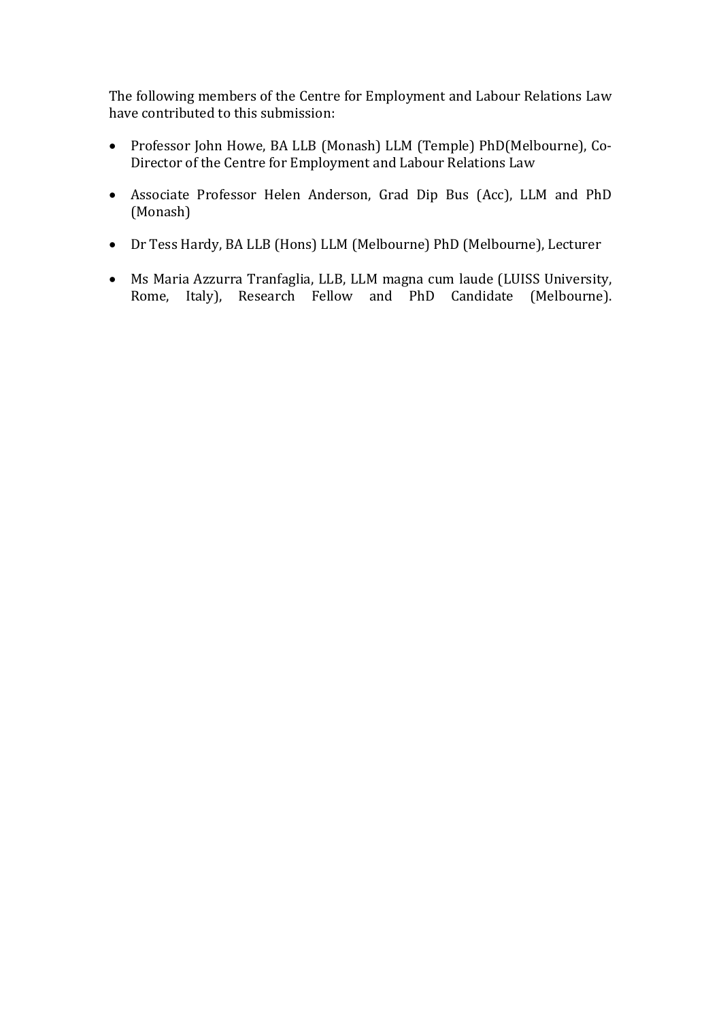The following members of the Centre for Employment and Labour Relations Law have contributed to this submission:

- Professor John Howe, BA LLB (Monash) LLM (Temple) PhD(Melbourne), Co-Director of the Centre for Employment and Labour Relations Law
- Associate Professor Helen Anderson, Grad Dip Bus (Acc), LLM and PhD (Monash)
- Dr Tess Hardy, BA LLB (Hons) LLM (Melbourne) PhD (Melbourne), Lecturer
- Ms Maria Azzurra Tranfaglia, LLB, LLM magna cum laude (LUISS University, Rome, Italy), Research Fellow and PhD Candidate (Melbourne).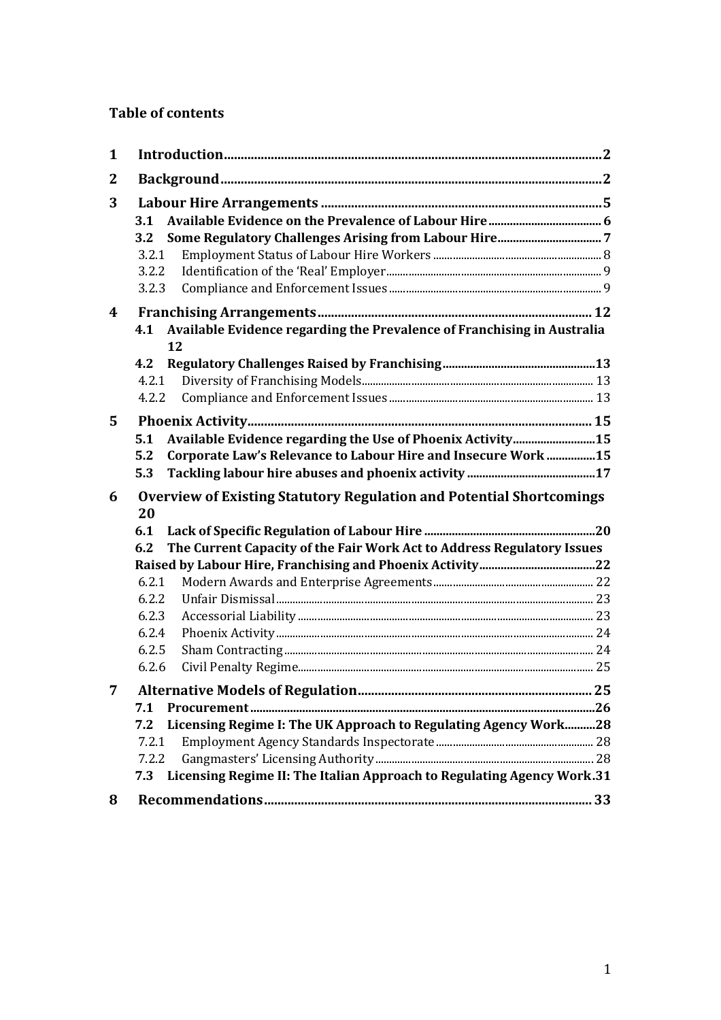# **Table of contents**

| 1            |                                                                                   |  |
|--------------|-----------------------------------------------------------------------------------|--|
| $\mathbf{2}$ |                                                                                   |  |
| 3            |                                                                                   |  |
|              | 3.1                                                                               |  |
|              | 3.2                                                                               |  |
|              | 3.2.1                                                                             |  |
|              | 3.2.2                                                                             |  |
|              | 3.2.3                                                                             |  |
| 4            |                                                                                   |  |
|              | Available Evidence regarding the Prevalence of Franchising in Australia<br>4.1    |  |
|              | 12                                                                                |  |
|              | 4.2                                                                               |  |
|              | 4.2.1                                                                             |  |
|              | 4.2.2                                                                             |  |
| 5            |                                                                                   |  |
|              | Available Evidence regarding the Use of Phoenix Activity15<br>5.1                 |  |
|              | Corporate Law's Relevance to Labour Hire and Insecure Work 15<br>5.2              |  |
|              | 5.3                                                                               |  |
| 6            | <b>Overview of Existing Statutory Regulation and Potential Shortcomings</b><br>20 |  |
|              | 6.1                                                                               |  |
|              | The Current Capacity of the Fair Work Act to Address Regulatory Issues<br>6.2     |  |
|              |                                                                                   |  |
|              | 6.2.1                                                                             |  |
|              | 6.2.2                                                                             |  |
|              | 6.2.3                                                                             |  |
|              | 6.2.4                                                                             |  |
|              | 6.2.5                                                                             |  |
|              | 6.2.6                                                                             |  |
|              |                                                                                   |  |
|              | 7.1                                                                               |  |
|              | Licensing Regime I: The UK Approach to Regulating Agency Work28<br>7.2            |  |
|              | 7.2.1                                                                             |  |
|              | 7.2.2                                                                             |  |
|              | Licensing Regime II: The Italian Approach to Regulating Agency Work.31<br>7.3     |  |
| 8            |                                                                                   |  |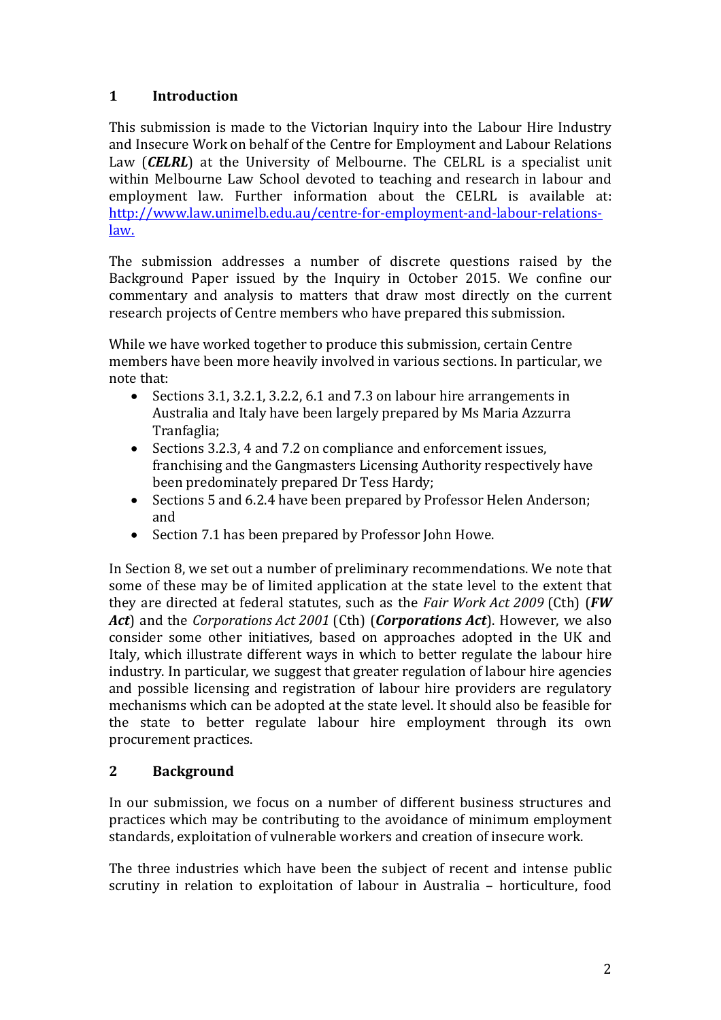# **1 Introduction**

This submission is made to the Victorian Inquiry into the Labour Hire Industry and Insecure Work on behalf of the Centre for Employment and Labour Relations Law (*CELRL*) at the University of Melbourne. The CELRL is a specialist unit within Melbourne Law School devoted to teaching and research in labour and employment law. Further information about the CELRL is available at: [http://www.law.unimelb.edu.au/centre-for-employment-and-labour-relations](http://www.law.unimelb.edu.au/centre-for-employment-and-labour-relations-law)[law.](http://www.law.unimelb.edu.au/centre-for-employment-and-labour-relations-law)

The submission addresses a number of discrete questions raised by the Background Paper issued by the Inquiry in October 2015. We confine our commentary and analysis to matters that draw most directly on the current research projects of Centre members who have prepared this submission.

While we have worked together to produce this submission, certain Centre members have been more heavily involved in various sections. In particular, we note that:<br>e Sec

- Sections 3.1, 3.2.1, 3.2.2, 6.1 and 7.3 on labour hire arrangements in Australia and Italy have been largely prepared by Ms Maria Azzurra Tranfaglia;
- Sections 3.2.3, 4 and 7.2 on compliance and enforcement issues, franchising and the Gangmasters Licensing Authority respectively have been predominately prepared Dr Tess Hardy;
- Sections 5 and 6.2.4 have been prepared by Professor Helen Anderson; and
- Section 7.1 has been prepared by Professor John Howe.

In Section 8, we set out a number of preliminary recommendations. We note that some of these may be of limited application at the state level to the extent that they are directed at federal statutes, such as the *Fair Work Act 2009* (Cth) (*FW Act*) and the *Corporations Act 2001* (Cth) (*Corporations Act*). However, we also consider some other initiatives, based on approaches adopted in the UK and Italy, which illustrate different ways in which to better regulate the labour hire industry. In particular, we suggest that greater regulation of labour hire agencies and possible licensing and registration of labour hire providers are regulatory mechanisms which can be adopted at the state level. It should also be feasible for the state to better regulate labour hire employment through its own procurement practices.

# **2 Background**

In our submission, we focus on a number of different business structures and practices which may be contributing to the avoidance of minimum employment standards, exploitation of vulnerable workers and creation of insecure work.

The three industries which have been the subject of recent and intense public scrutiny in relation to exploitation of labour in Australia – horticulture, food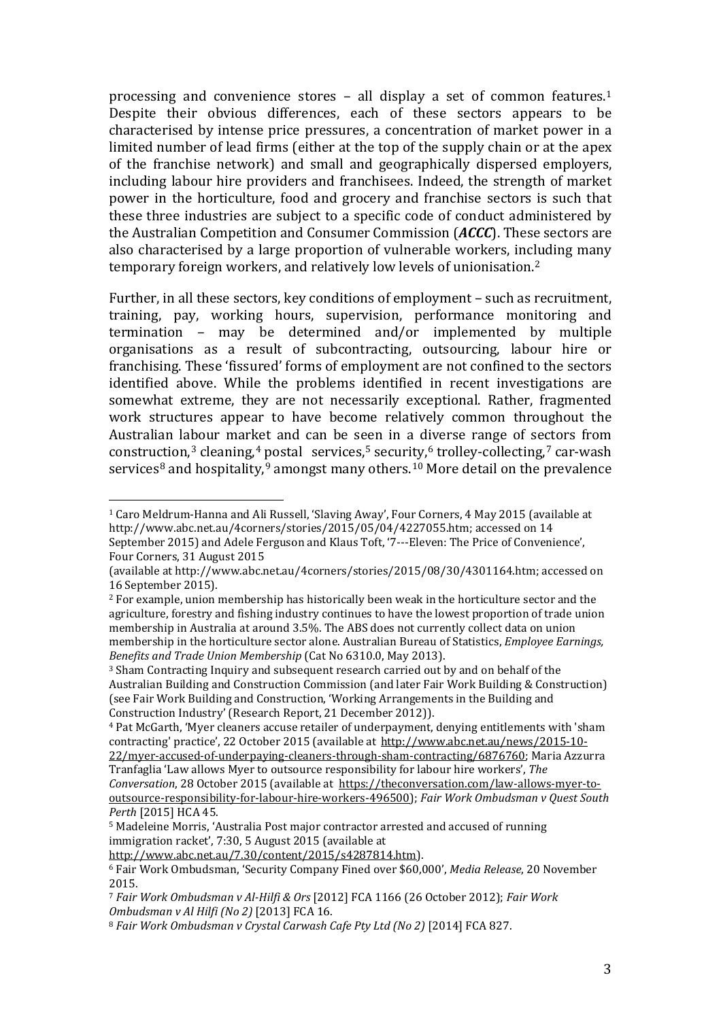processing and convenience stores – all display a set of common features.[1](#page-4-0) Despite their obvious differences, each of these sectors appears to be characterised by intense price pressures, a concentration of market power in a limited number of lead firms (either at the top of the supply chain or at the apex of the franchise network) and small and geographically dispersed employers, including labour hire providers and franchisees. Indeed, the strength of market power in the horticulture, food and grocery and franchise sectors is such that these three industries are subject to a specific code of conduct administered by the Australian Competition and Consumer Commission (*ACCC*). These sectors are also characterised by a large proportion of vulnerable workers, including many temporary foreign workers, and relatively low levels of unionisation.[2](#page-4-1)

Further, in all these sectors, key conditions of employment – such as recruitment, training, pay, working hours, supervision, performance monitoring and termination – may be determined and/or implemented by multiple organisations as a result of subcontracting, outsourcing, labour hire or franchising. These 'fissured' forms of employment are not confined to the sectors identified above. While the problems identified in recent investigations are somewhat extreme, they are not necessarily exceptional. Rather, fragmented work structures appear to have become relatively common throughout the Australian labour mar[ke](#page-4-3)t and can be seen in a diverse range of sectors from constru[ct](#page-4-7)ion,<sup>[3](#page-4-2)</su[p](#page-4-8)> cleaning,<sup>4</sup> postal services,<sup>[5](#page-4-4)</sup> secur[ity](#page-4-9),<sup>[6](#page-4-5)</sup> trolley-collecting,<sup>[7](#page-4-6)</sup> car-wash services<sup>8</sup> and hospitality,<sup>9</sup> amongst many others.<sup>10</sup> More detail on the prevalence

<span id="page-4-0"></span><sup>1</sup> Caro Meldrum-Hanna and Ali Russell, 'Slaving Away', Four Corners, 4 May 2015 (available at http://www.abc.net.au/4corners/stories/2015/05/04/4227055.htm; accessed on 14 September 2015) and Adele Ferguson and Klaus Toft, '7---Eleven: The Price of Convenience', Four Corners, 31 August 2015 j

<sup>(</sup>available at http://www.abc.net.au/4corners/stories/2015/08/30/4301164.htm; accessed on

<span id="page-4-1"></span><sup>&</sup>lt;sup>2</sup> For example, union membership has historically been weak in the horticulture sector and the agriculture, forestry and fishing industry continues to have the lowest proportion of trade union membership in Australia at around 3.5%. The ABS does not currently collect data on union membership in the horticulture sector alone. Australian Bureau of Statistics, *Employee Earnings,* 

<span id="page-4-2"></span><sup>&</sup>lt;sup>3</sup> Sham Contracting Inquiry and subsequent research carried out by and on behalf of the Australian Building and Construction Commission (and later Fair Work Building & Construction) (see Fair Work Building and Construction, 'Working Arrangements in the Building and Construction Industry' (Research Report, 21 December 2012)).

<span id="page-4-9"></span><span id="page-4-8"></span><span id="page-4-3"></span><sup>4</sup> Pat McGarth, 'Myer cleaners accuse retailer of underpayment, denying entitlements with 'sham contracting' practice', 22 October 2015 (available at [http://www.abc.net.au/news/2015-10-](http://www.abc.net.au/news/2015-10-22/myer-accused-of-underpaying-cleaners-through-sham-contracting/6876760) [22/myer-accused-of-underpaying-cleaners-through-sham-contracting/6876760;](http://www.abc.net.au/news/2015-10-22/myer-accused-of-underpaying-cleaners-through-sham-contracting/6876760) Maria Azzurra Tranfaglia 'Law allows Myer to outsource responsibility for labour hire workers', *The Conversation*, 28 October 2015 (available at [https://theconversation.com/law-allows-myer-to-](https://theconversation.com/law-allows-myer-to-outsource-responsibility-for-labour-hire-workers-496500)

[outsource-responsibility-for-labour-hire-workers-496500\)](https://theconversation.com/law-allows-myer-to-outsource-responsibility-for-labour-hire-workers-496500); *Fair Work Ombudsman v Quest South Perth* [2015] HCA 45.

<span id="page-4-4"></span><sup>5</sup> Madeleine Morris, 'Australia Post major contractor arrested and accused of running immigration racket', 7:30, 5 August 2015 (available at

[http://www.abc.net.au/7.30/content/2015/s4287814.htm\)](http://www.abc.net.au/7.30/content/2015/s4287814.htm).

<span id="page-4-5"></span><sup>6</sup> Fair Work Ombudsman, 'Security Company Fined over \$60,000', *Media Release*, 20 November 2015.

<span id="page-4-6"></span><sup>7</sup> *[Fair Work Ombudsman v Al-Hilfi & Ors](http://www.austlii.edu.au/au/cases/cth/FCA/2012/1166.html)* [2012] FCA 1166 (26 October 2012); *Fair Work Ombudsman v Al Hilfi (No 2)* [2013] FCA 16.

<span id="page-4-7"></span><sup>8</sup> *Fair Work Ombudsman v Crystal Carwash Cafe Pty Ltd (No 2)* [2014] FCA 827.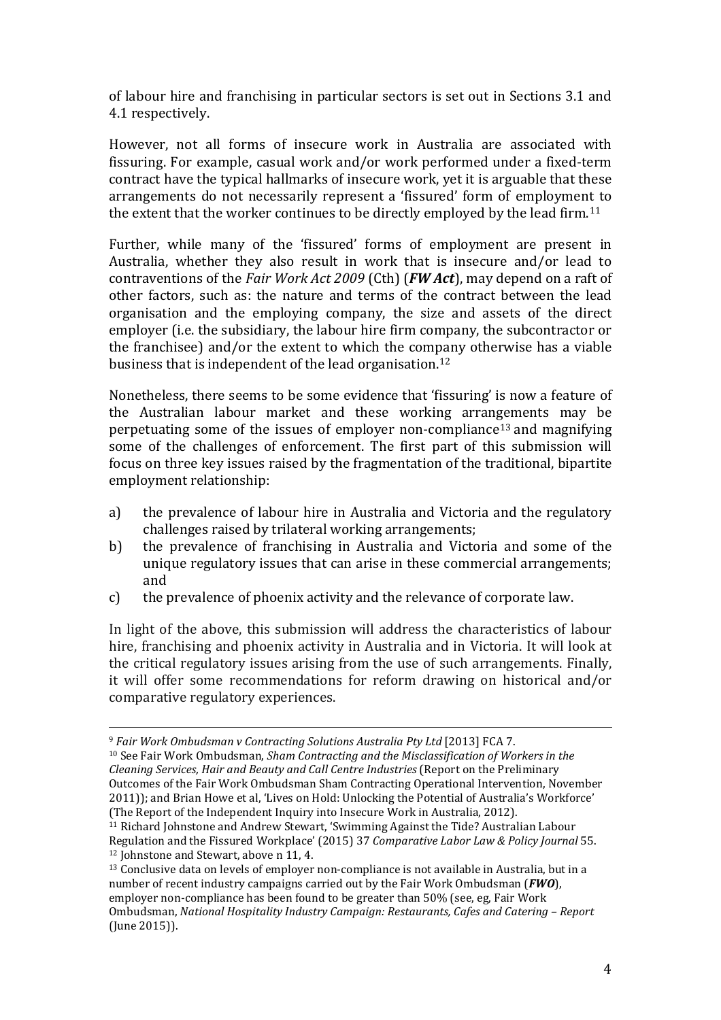of labour hire and franchising in particular sectors is set out in Sections 3.1 and 4.1 respectively.

However, not all forms of insecure work in Australia are associated with fissuring. For example, casual work and/or work performed under a fixed-term contract have the typical hallmarks of insecure work, yet it is arguable that these arrangements do not necessarily represent a 'fissured' form of employment to the extent that the worker continues to be directly employed by the lead firm.<sup>11</sup>

Further, while many of the 'fissured' forms of employment are present in Australia, whether they also result in work that is insecure and/or lead to contraventions of the *Fair Work Act 2009* (Cth) (*FW Act*), may depend on a raft of other factors, such as: the nature and terms of the contract between the lead organisation and the employing company, the size and assets of the direct employer (i.e. the subsidiary, the labour hire firm company, the subcontractor or the franchisee) and/or the extent to which the company otherwise has a viable business that is independent of the lead organisation.[12](#page-5-1)

Nonetheless, there seems to be some evidence that 'fissuring' is now a feature of the Australian labour market and these working arrangements may be perpetuating some of the issues of employer non-compliance[13](#page-5-2) and magnifying some of the challenges of enforcement. The first part of this submission will focus on three key issues raised by the fragmentation of the traditional, bipartite employment relationship:

- a) the prevalence of labour hire in Australia and Victoria and the regulatory challenges raised by trilateral working arrangements;
- b) the prevalence of franchising in Australia and Victoria and some of the unique regulatory issues that can arise in these commercial arrangements; and
- c) the prevalence of phoenix activity and the relevance of corporate law.

In light of the above, this submission will address the characteristics of labour hire, franchising and phoenix activity in Australia and in Victoria. It will look at the critical regulatory issues arising from the use of such arrangements. Finally, it will offer some recommendations for reform drawing on historical and/or comparative regulatory experiences.

<sup>10</sup> See Fair Work Ombudsman, *Sham Contracting and the Misclassification of Workers in the Cleaning Services, Hair and Beauty and Call Centre Industries* (Report on the Preliminary Outcomes of the Fair Work Ombudsman Sham Contracting Operational Intervention, November 2011)); and Brian Howe et al, 'Lives on Hold: Unlocking the Potential of Australia's Workforce' (The Report of the Independent Inquiry into Insecure Work in Australia, 2012).

<span id="page-5-2"></span><span id="page-5-1"></span><sup>13</sup> Conclusive data on levels of employer non-compliance is not available in Australia, but in a number of recent industry campaigns carried out by the Fair Work Ombudsman (*FWO*), employer non-compliance has been found to be greater than 50% (see, eg, Fair Work Ombudsman, *National Hospitality Industry Campaign: Restaurants, Cafes and Catering – Report* (June 2015)).

<sup>9</sup> *Fair Work Ombudsman v Contracting Solutions Australia Pty Ltd* [2013] FCA 7. i<br>I

<span id="page-5-0"></span><sup>11</sup> Richard Johnstone and Andrew Stewart, 'Swimming Against the Tide? Australian Labour Regulation and the Fissured Workplace' (2015) 37 *Comparative Labor Law & Policy Journal* 55. <sup>12</sup> Johnstone and Stewart, above n 11, 4.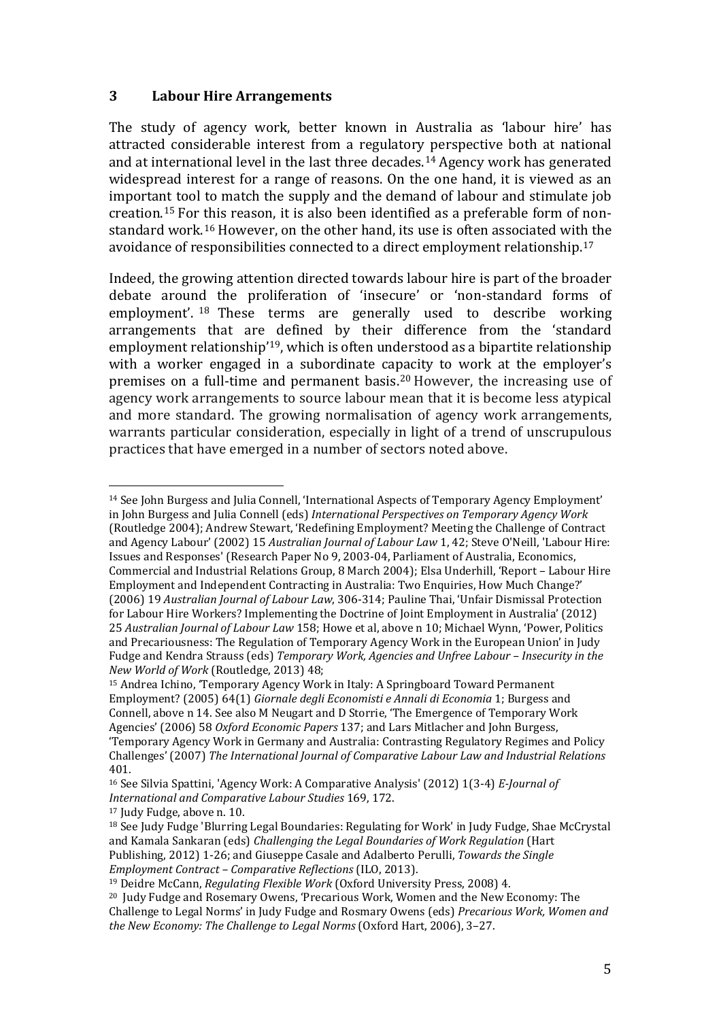#### **3 Labour Hire Arrangements**

The study of agency work, better known in Australia as 'labour hire' has attracted considerable interest from a regulatory perspective both at national and at international level in the last three decades.[14](#page-6-0) Agency work has generated widespread interest for a range of reasons. On the one hand, it is viewed as an important tool to match the supply and the demand of labour and stimulate job creation.[15](#page-6-1) For this reason, it is also been identified as a preferable form of nonstandard work.[16](#page-6-2) However, on the other hand, its use is often associated with the avoidance of responsibilities connected to a direct employment relationship.[17](#page-6-3)

Indeed, the growing attention directed towards labour hire is part of the broader debate arou[nd](#page-6-4) the proliferation of 'insecure' or 'non-standard forms of employment'. <sup>18</sup> These terms are generally used to describe working arrangements that are defined by their difference from the 'standard employment relationship'[19,](#page-6-5) which is often understood as a bipartite relationship with a worker engaged in a subordinate capacity to work at the employer's premises on a full-time and permanent basis.[20](#page-6-6) However, the increasing use of agency work arrangements to source labour mean that it is become less atypical and more standard. The growing normalisation of agency work arrangements, warrants particular consideration, especially in light of a trend of unscrupulous practices that have emerged in a number of sectors noted above.

<span id="page-6-3"></span><sup>17</sup> Judy Fudge, above n. 10.

<span id="page-6-0"></span><sup>14</sup> See John Burgess and Julia Connell, 'International Aspects of Temporary Agency Employment' in John Burgess and Julia Connell (eds) *International Perspectives on Temporary Agency Work*  (Routledge 2004); Andrew Stewart, 'Redefining Employment? Meeting the Challenge of Contract and Agency Labour' (2002) 15 *Australian Journal of Labour Law* 1, 42; Steve O'Neill, 'Labour Hire: Issues and Responses' (Research Paper No 9, 2003-04, Parliament of Australia, Economics, Commercial and Industrial Relations Group, 8 March 2004); Elsa Underhill, 'Report – Labour Hire Employment and Independent Contracting in Australia: Two Enquiries, How Much Change?' (2006) 19 *Australian Journal of Labour Law*, 306-314; Pauline Thai, 'Unfair Dismissal Protection for Labour Hire Workers? Implementing the Doctrine of Joint Employment in Australia' (2012) 25 *Australian Journal of Labour Law* 158; Howe et al, above n 10; Michael Wynn, 'Power, Politics and Precariousness: The Regulation of Temporary Agency Work in the European Union' in Judy Fudge and Kendra Strauss (eds) *Temporary Work, Agencies and Unfree Labour – Insecurity in the New World of Work* (Routledge, 2013) 48; j

<span id="page-6-1"></span><sup>15</sup> Andrea Ichino, 'Temporary Agency Work in Italy: A Springboard Toward Permanent Employment? (2005) 64(1) *Giornale degli Economisti e Annali di Economia* 1; Burgess and Connell, above n 14. See also M Neugart and D Storrie, 'The Emergence of Temporary Work Agencies' (2006) 58 *Oxford Economic Papers* 137; and Lars Mitlacher and John Burgess, 'Temporary Agency Work in Germany and Australia: Contrasting Regulatory Regimes and Policy Challenges' (2007) *The International Journal of Comparative Labour Law and Industrial Relations*  401.

<span id="page-6-2"></span><sup>16</sup> See Silvia Spattini, 'Agency Work: A Comparative Analysis' (2012) 1(3-4) *E-Journal of International and Comparative Labour Studies* 169, 172.

<span id="page-6-4"></span><sup>18</sup> See Judy Fudge 'Blurring Legal Boundaries: Regulating for Work' in Judy Fudge, Shae McCrystal and Kamala Sankaran (eds) *Challenging the Legal Boundaries of Work Regulation* (Hart Publishing, 2012) 1-26; and Giuseppe Casale and Adalberto Perulli, *Towards the Single Employment Contract – Comparative Reflections* (ILO, 2013).

<span id="page-6-5"></span><sup>19</sup> Deidre McCann, *Regulating Flexible Work* (Oxford University Press, 2008) 4.

<span id="page-6-6"></span><sup>20</sup> Judy Fudge and Rosemary Owens, 'Precarious Work, Women and the New Economy: The Challenge to Legal Norms' in Judy Fudge and Rosmary Owens (eds) *Precarious Work, Women and the New Economy: The Challenge to Legal Norms* (Oxford Hart, 2006), 3–27.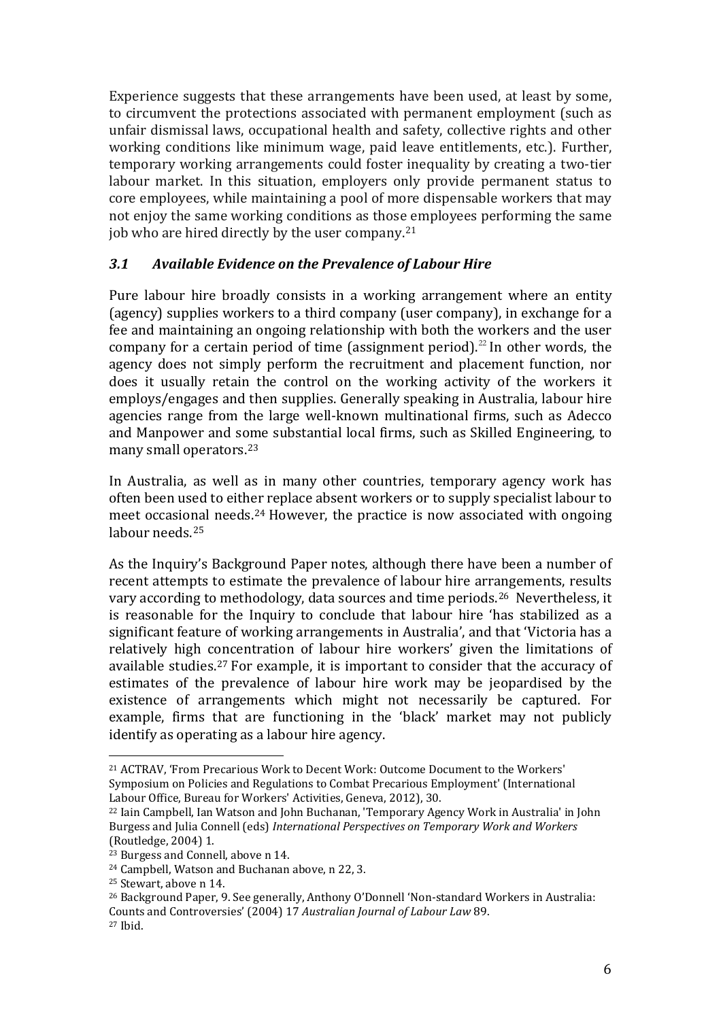Experience suggests that these arrangements have been used, at least by some, to circumvent the protections associated with permanent employment (such as unfair dismissal laws, occupational health and safety, collective rights and other working conditions like minimum wage, paid leave entitlements, etc.). Further, temporary working arrangements could foster inequality by creating a two-tier labour market. In this situation, employers only provide permanent status to core employees, while maintaining a pool of more dispensable workers that may not enjoy the same working conditions as those employees performing the same job who are hired directly by the user company.[21](#page-7-0)

### *3.1 Available Evidence on the Prevalence of Labour Hire*

Pure labour hire broadly consists in a working arrangement where an entity (agency) supplies workers to a third company (user company), in exchange for a fee and maintaining an ongoing relationship with both the workers and the user company for a certain period of time (assignment period).<sup>[22](#page-7-1)</sup> In other words, the agency does not simply perform the recruitment and placement function, nor does it usually retain the control on the working activity of the workers it employs/engages and then supplies. Generally speaking in Australia, labour hire agencies range from the large well-known multinational firms, such as Adecco and Manpower and some substantial local firms, such as Skilled Engineering, to many small operators.[23](#page-7-2)

In Australia, as well as in many other countries, temporary agency work has often been used to either replace absent workers or to supply specialist labour to meet occasio[na](#page-7-4)l needs.[24](#page-7-3) However, the practice is now associated with ongoing labour needs.<sup>25</sup>

As the Inquiry's Background Paper notes, although there have been a number of recent attempts to estimate the prevalence of labour hire arrangements, results vary according to methodology, data sources and time periods.[26](#page-7-5) Nevertheless, it is reasonable for the Inquiry to conclude that labour hire 'has stabilized as a significant feature of working arrangements in Australia', and that 'Victoria has a relatively high concentration of labour hire workers' given the limitations of available studies.[27](#page-7-6) For example, it is important to consider that the accuracy of estimates of the prevalence of labour hire work may be jeopardised by the existence of arrangements which might not necessarily be captured. For example, firms that are functioning in the 'black' market may not publicly identify as operating as a labour hire agency.

<span id="page-7-0"></span><sup>21</sup> ACTRAV, 'From Precarious Work to Decent Work: Outcome Document to the Workers' Symposium on Policies and Regulations to Combat Precarious Employment' (International Labour Office, Bureau for Workers' Activities, Geneva, 2012), 30. l

<span id="page-7-1"></span><sup>22</sup> Iain Campbell, Ian Watson and John Buchanan, 'Temporary Agency Work in Australia' in John Burgess and Julia Connell (eds) *International Perspectives on Temporary Work and Workers* (Routledge, 2004) 1.

<span id="page-7-2"></span><sup>23</sup> Burgess and Connell, above n 14.

<span id="page-7-4"></span><span id="page-7-3"></span><sup>&</sup>lt;sup>24</sup> Campbell, Watson and Buchanan above, n 22, 3.<br><sup>25</sup> Stewart, above n 14.

<span id="page-7-6"></span><span id="page-7-5"></span><sup>&</sup>lt;sup>26</sup> Background Paper, 9. See generally, Anthony O'Donnell 'Non-standard Workers in Australia: Counts and Controversies' (2004) 17 *Australian Journal of Labour Law* 89. <sup>27</sup> Ibid.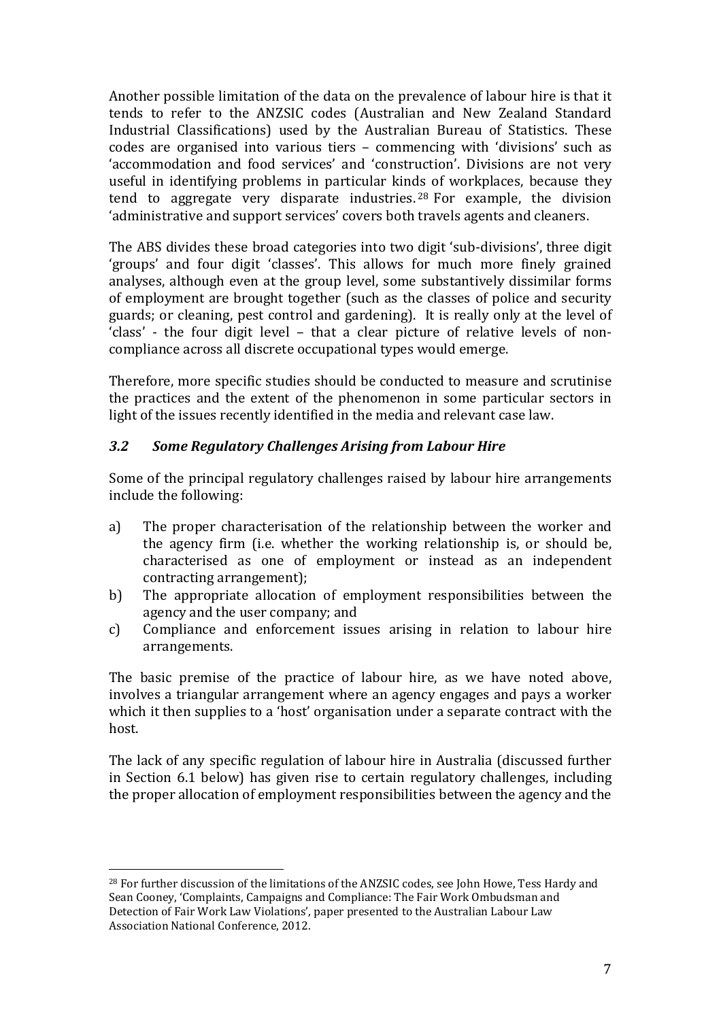Another possible limitation of the data on the prevalence of labour hire is that it tends to refer to the ANZSIC codes (Australian and New Zealand Standard Industrial Classifications) used by the Australian Bureau of Statistics. These codes are organised into various tiers – commencing with 'divisions' such as 'accommodation and food services' and 'construction'. Divisions are not very useful in identifying problems in particular kin[ds](#page-8-0) of workplaces, because they tend to aggregate very disparate industries. <sup>28</sup> For example, the division 'administrative and support services' covers both travels agents and cleaners.

The ABS divides these broad categories into two digit 'sub-divisions', three digit 'groups' and four digit 'classes'. This allows for much more finely grained analyses, although even at the group level, some substantively dissimilar forms of employment are brought together (such as the classes of police and security guards; or cleaning, pest control and gardening). It is really only at the level of 'class' - the four digit level – that a clear picture of relative levels of noncompliance across all discrete occupational types would emerge.

Therefore, more specific studies should be conducted to measure and scrutinise the practices and the extent of the phenomenon in some particular sectors in light of the issues recently identified in the media and relevant case law.

### *3.2 Some Regulatory Challenges Arising from Labour Hire*

Some of the principal regulatory challenges raised by labour hire arrangements include the following:

- a) The proper characterisation of the relationship between the worker and the agency firm (i.e. whether the working relationship is, or should be, characterised as one of employment or instead as an independent contracting arrangement);
- b) The appropriate allocation of employment responsibilities between the agency and the user company; and
- c) Compliance and enforcement issues arising in relation to labour hire arrangements.

The basic premise of the practice of labour hire, as we have noted above, involves a triangular arrangement where an agency engages and pays a worker which it then supplies to a 'host' organisation under a separate contract with the host.

The lack of any specific regulation of labour hire in Australia (discussed further in Section 6.1 below) has given rise to certain regulatory challenges, including the proper allocation of employment responsibilities between the agency and the

<span id="page-8-0"></span> $^{28}$  For further discussion of the limitations of the ANZSIC codes, see John Howe, Tess Hardy and Sean Cooney, 'Complaints, Campaigns and Compliance: The Fair Work Ombudsman and Detection of Fair Work Law Violations', paper presented to the Australian Labour Law Association National Conference, 2012. l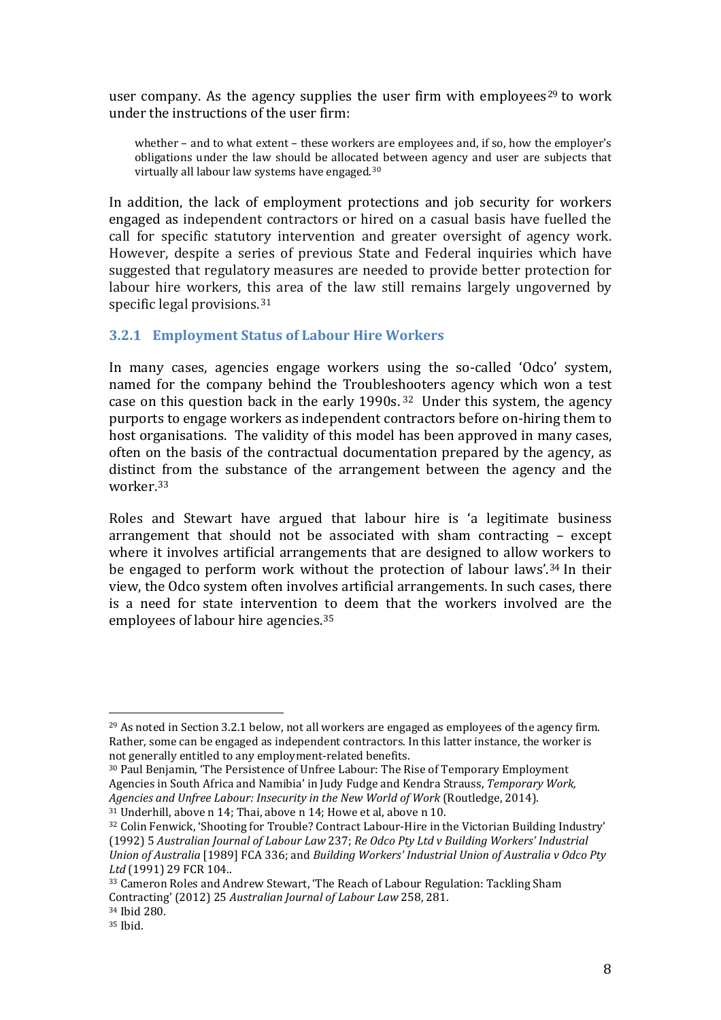user company. As the agency supplies the user firm with employees<sup>[29](#page-9-0)</sup> to work under the instructions of the user firm:

whether – and to what extent – these workers are employees and, if so, how the employer's obligations under the law should be allocated between agency and user are subjects that virtually all labour law systems have engaged.[30](#page-9-1)

In addition, the lack of employment protections and job security for workers engaged as independent contractors or hired on a casual basis have fuelled the call for specific statutory intervention and greater oversight of agency work. However, despite a series of previous State and Federal inquiries which have suggested that regulatory measures are needed to provide better protection for labour hire workers, this area of the law still remains largely ungoverned by specific legal provisions.<sup>[31](#page-9-2)</sup>

#### **3.2.1 Employment Status of Labour Hire Workers**

In many cases, agencies engage workers using the so-called 'Odco' system, named for the company behind the Troubleshooters agency which won a test case on this question back in the early 1990s. [32](#page-9-3) Under this system, the agency purports to engage workers as independent contractors before on-hiring them to host organisations. The validity of this model has been approved in many cases, often on the basis of the contractual documentation prepared by the agency, as distinct from the substance of the arrangement between the agency and the worker.[33](#page-9-4)

Roles and Stewart have argued that labour hire is 'a legitimate business arrangement that should not be associated with sham contracting – except where it involves artificial arrangements that are designed to allow workers to be engaged to perform work without the protection of labour laws'.[34](#page-9-5) In their view, the Odco system often involves artificial arrangements. In such cases, there is a need for state intervention [to](#page-9-6) deem that the workers involved are the employees of labour hire agencies. 35

<span id="page-9-0"></span> $^{29}$  As noted in Section 3.2.1 below, not all workers are engaged as employees of the agency firm. Rather, some can be engaged as independent contractors. In this latter instance, the worker is not generally entitled to any employment-related benefits. l

<span id="page-9-1"></span><sup>30</sup> Paul Benjamin, 'The Persistence of Unfree Labour: The Rise of Temporary Employment Agencies in South Africa and Namibia' in Judy Fudge and Kendra Strauss, *Temporary Work, Agencies and Unfree Labour: Insecurity in the New World of Work* (Routledge, 2014).

<span id="page-9-2"></span><sup>31</sup> Underhill, above n 14; Thai, above n 14; Howe et al, above n 10.

<span id="page-9-3"></span><sup>32</sup> Colin Fenwick, 'Shooting for Trouble? Contract Labour-Hire in the Victorian Building Industry' (1992) 5 *Australian Journal of Labour Law* 237; *Re Odco Pty Ltd v Building Workers' Industrial Union of Australia* [1989] FCA 336; and *Building Workers' Industrial Union of Australia v Odco Pty Ltd* (1991) 29 FCR 104..

<span id="page-9-4"></span><sup>33</sup> Cameron Roles and Andrew Stewart, 'The Reach of Labour Regulation: Tackling Sham Contracting' (2012) 25 *Australian Journal of Labour Law* 258, 281. <sup>34</sup> Ibid 280.

<span id="page-9-6"></span><span id="page-9-5"></span><sup>35</sup> Ibid.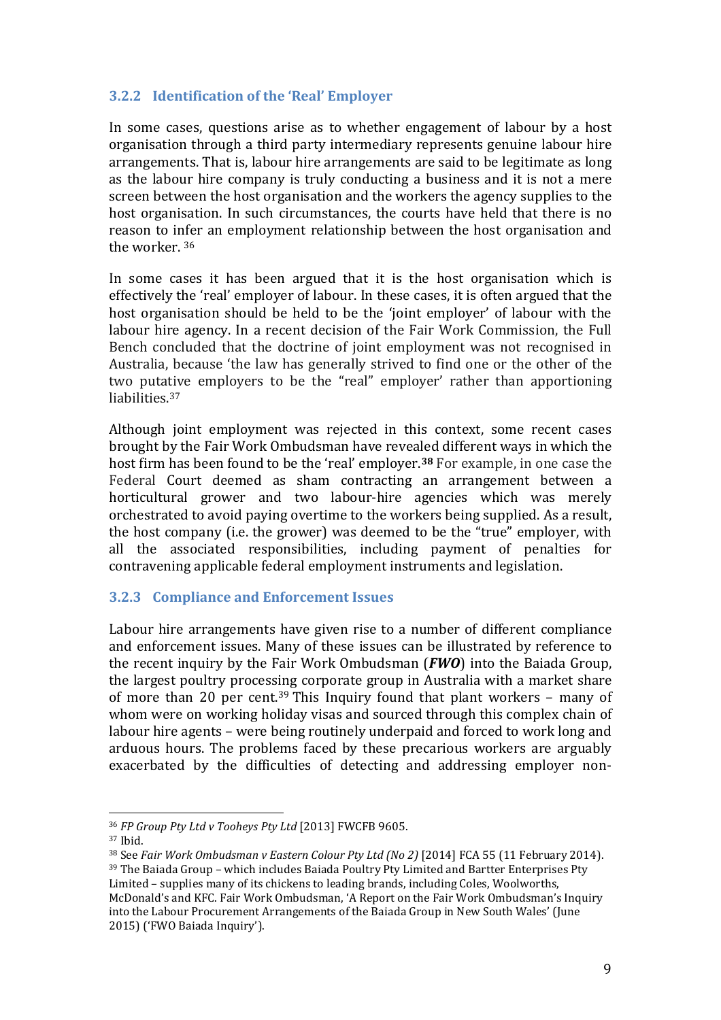### **3.2.2 Identification of the 'Real' Employer**

In some cases, questions arise as to whether engagement of labour by a host organisation through a third party intermediary represents genuine labour hire arrangements. That is, labour hire arrangements are said to be legitimate as long as the labour hire company is truly conducting a business and it is not a mere screen between the host organisation and the workers the agency supplies to the host organisation. In such circumstances, the courts have held that there is no reason to i[nfe](#page-10-0)r an employment relationship between the host organisation and the worker. <sup>36</sup>

In some cases it has been argued that it is the host organisation which is effectively the 'real' employer of labour. In these cases, it is often argued that the host organisation should be held to be the 'joint employer' of labour with the labour hire agency. In a recent decision of the Fair Work Commission, the Full Bench concluded that the doctrine of joint employment was not recognised in Australia, because 'the law has generally strived to find one or the other of the two putative employers to be the "real" employer' rather than apportioning liabilities.[37](#page-10-1)

Although joint employment was rejected in this context, some recent cases brought by the Fair Work Ombudsman have revealed different ways in which the host firm has been found to be the 'real' employer.**[38](#page-10-2)** For example, in one case the Federal Court deemed as sham contracting an arrangement between a horticultural grower and two labour-hire agencies which was merely orchestrated to avoid paying overtime to the workers being supplied. As a result, the host company (i.e. the grower) was deemed to be the "true" employer, with all the associated responsibilities, including payment of penalties for contravening applicable federal employment instruments and legislation.

#### **3.2.3 Compliance and Enforcement Issues**

Labour hire arrangements have given rise to a number of different compliance and enforcement issues. Many of these issues can be illustrated by reference to the recent inquiry by the Fair Work Ombudsman (*FWO*) into the Baiada Group, the largest poultry process[in](#page-10-3)g corporate group in Australia with a market share of more than 20 per cent. <sup>39</sup> This Inquiry found that plant workers – many of whom were on working holiday visas and sourced through this complex chain of labour hire agents – were being routinely underpaid and forced to work long and arduous hours. The problems faced by these precarious workers are arguably exacerbated by the difficulties of detecting and addressing employer non-

<span id="page-10-0"></span><sup>&</sup>lt;sup>36</sup> FP Group Pty Ltd v Tooheys Pty Ltd [2013] FWCFB 9605.<br><sup>37</sup> Ibid. l

<span id="page-10-3"></span><span id="page-10-2"></span><span id="page-10-1"></span><sup>38</sup> See *Fair Work Ombudsman v Eastern Colour Pty Ltd (No 2)* [2014] FCA 55 (11 February 2014). <sup>39</sup> The Baiada Group – which includes Baiada Poultry Pty Limited and Bartter Enterprises Pty Limited – supplies many of its chickens to leading brands, including Coles, Woolworths, McDonald's and KFC. Fair Work Ombudsman, 'A Report on the Fair Work Ombudsman's Inquiry into the Labour Procurement Arrangements of the Baiada Group in New South Wales' (June 2015) ('FWO Baiada Inquiry').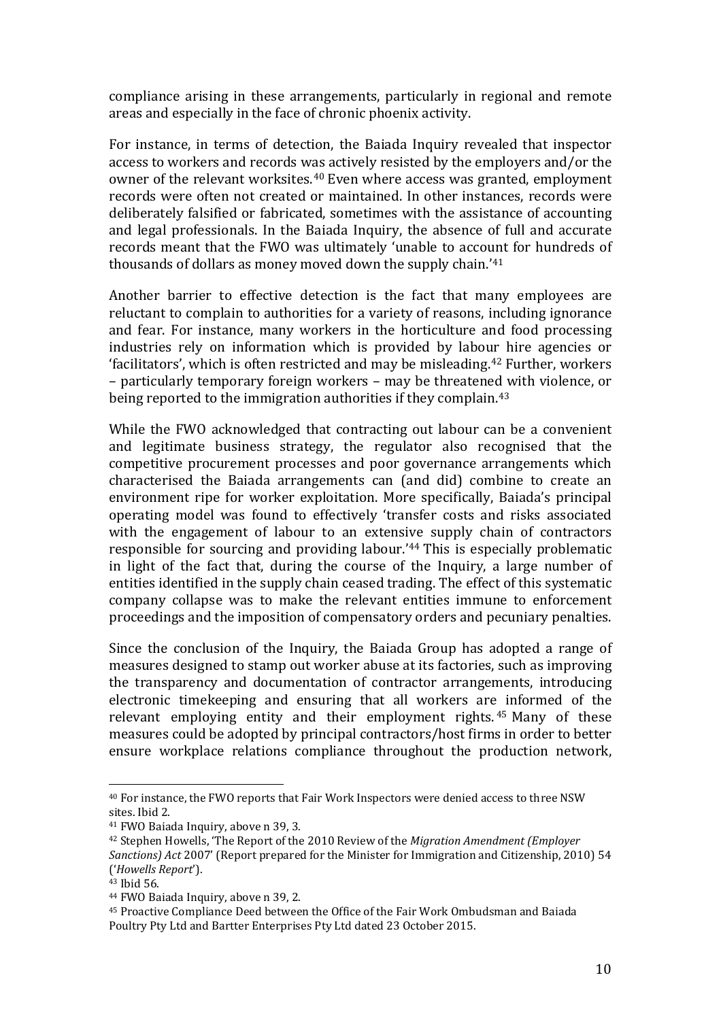compliance arising in these arrangements, particularly in regional and remote areas and especially in the face of chronic phoenix activity.

For instance, in terms of detection, the Baiada Inquiry revealed that inspector access to workers and records was actively resisted by the employers and/or the owner of the relevant worksites.<sup>[40](#page-11-0)</sup> Even where access was granted, employment records were often not created or maintained. In other instances, records were deliberately falsified or fabricated, sometimes with the assistance of accounting and legal professionals. In the Baiada Inquiry, the absence of full and accurate records meant that the FWO was ultimately 'unable to account for hundreds of thousands of dollars as money moved down the supply chain.'[41](#page-11-1)

Another barrier to effective detection is the fact that many employees are reluctant to complain to authorities for a variety of reasons, including ignorance and fear. For instance, many workers in the horticulture and food processing industries rely on information which is provided by labour hire agencies or 'facilitators', which is often restricted and may be misleading.[42](#page-11-2) Further, workers – particularly temporary foreign workers – may be threatened with violence, or being reported to the immigration authorities if they complain.[43](#page-11-3)

While the FWO acknowledged that contracting out labour can be a convenient and legitimate business strategy, the regulator also recognised that the competitive procurement processes and poor governance arrangements which characterised the Baiada arrangements can (and did) combine to create an environment ripe for worker exploitation. More specifically, Baiada's principal operating model was found to effectively 'transfer costs and risks associated with the engagement of labour to an extensive supply chain of contractors responsible for sourcing and providing labour.'[44](#page-11-4) This is especially problematic in light of the fact that, during the course of the Inquiry, a large number of entities identified in the supply chain ceased trading. The effect of this systematic company collapse was to make the relevant entities immune to enforcement proceedings and the imposition of compensatory orders and pecuniary penalties.

Since the conclusion of the Inquiry, the Baiada Group has adopted a range of measures designed to stamp out worker abuse at its factories, such as improving the transparency and documentation of contractor arrangements, introducing electronic timekeeping and ensuring that all workers ar[e i](#page-11-5)nformed of the relevant employing entity and their employment rights. <sup>45</sup> Many of these measures could be adopted by principal contractors/host firms in order to better ensure workplace relations compliance throughout the production network,

<span id="page-11-0"></span> $40$  For instance, the FWO reports that Fair Work Inspectors were denied access to three NSW  $\,$ sites. Ibid 2. i<br>I

<sup>41</sup> FWO Baiada Inquiry, above n 39, 3.

<span id="page-11-2"></span><span id="page-11-1"></span><sup>42</sup> Stephen Howells, 'The Report of the 2010 Review of the *Migration Amendment (Employer Sanctions) Act* 2007' (Report prepared for the Minister for Immigration and Citizenship, 2010) 54 ('*Howells Report*').

<span id="page-11-3"></span><sup>43</sup> Ibid 56.

<sup>44</sup> FWO Baiada Inquiry, above n 39, 2.

<span id="page-11-5"></span><span id="page-11-4"></span><sup>45</sup> Proactive Compliance Deed between the Office of the Fair Work Ombudsman and Baiada Poultry Pty Ltd and Bartter Enterprises Pty Ltd dated 23 October 2015.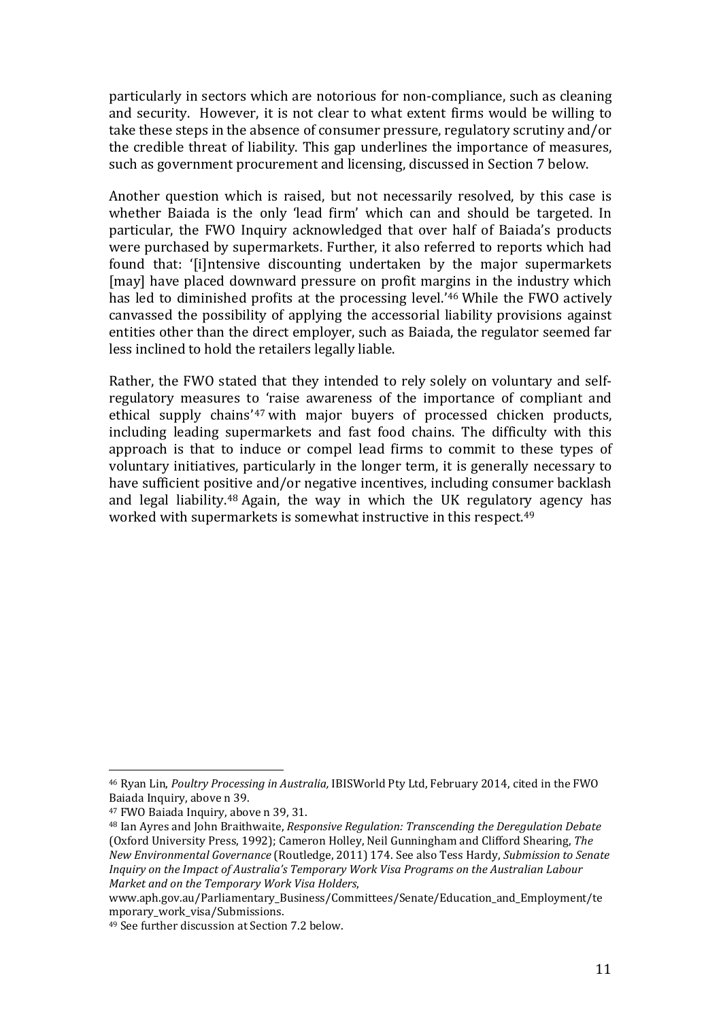particularly in sectors which are notorious for non-compliance, such as cleaning and security. However, it is not clear to what extent firms would be willing to take these steps in the absence of consumer pressure, regulatory scrutiny and/or the credible threat of liability. This gap underlines the importance of measures, such as government procurement and licensing, discussed in Section 7 below.

Another question which is raised, but not necessarily resolved, by this case is whether Baiada is the only 'lead firm' which can and should be targeted. In particular, the FWO Inquiry acknowledged that over half of Baiada's products were purchased by supermarkets. Further, it also referred to reports which had found that: '[i]ntensive discounting undertaken by the major supermarkets [may] have placed downward pressure on profit margins in the industry which has led to diminished profits at the processing level.'[46](#page-12-0) While the FWO actively canvassed the possibility of applying the accessorial liability provisions against entities other than the direct employer, such as Baiada, the regulator seemed far less inclined to hold the retailers legally liable.

Rather, the FWO stated that they intended to rely solely on voluntary and selfregulatory measures to 'raise awareness of the importance of compliant and ethical supply chains'[47](#page-12-1) with major buyers of processed chicken products, including leading supermarkets and fast food chains. The difficulty with this approach is that to induce or compel lead firms to commit to these types of voluntary initiatives, particularly in the longer term, it is generally necessary to have sufficient pos[itiv](#page-12-2)e and/or negative incentives, including consumer backlash and legal liability. <sup>48</sup> Again, the way in which the UK regulatory agency has worked with supermarkets is somewhat instructive in this respect.[49](#page-12-3)

<span id="page-12-0"></span><sup>46</sup> Ryan Lin, *Poultry Processing in Australia,* IBISWorld Pty Ltd, February 2014, cited in the FWO Baiada Inquiry, above n 39. j

<span id="page-12-1"></span><sup>47</sup> FWO Baiada Inquiry, above n 39, 31.

<span id="page-12-2"></span><sup>48</sup> Ian Ayres and John Braithwaite, *Responsive Regulation: Transcending the Deregulation Debate* (Oxford University Press, 1992); Cameron Holley, Neil Gunningham and Clifford Shearing, *The New Environmental Governance* (Routledge, 2011) 174. See also Tess Hardy, *Submission to Senate Inquiry on the Impact of Australia's Temporary Work Visa Programs on the Australian Labour Market and on the Temporary Work Visa Holders*,

www.aph.gov.au/Parliamentary\_Business/Committees/Senate/Education\_and\_Employment/te mporary work visa/Submissions.

<span id="page-12-3"></span><sup>49</sup> See further discussion at Section 7.2 below.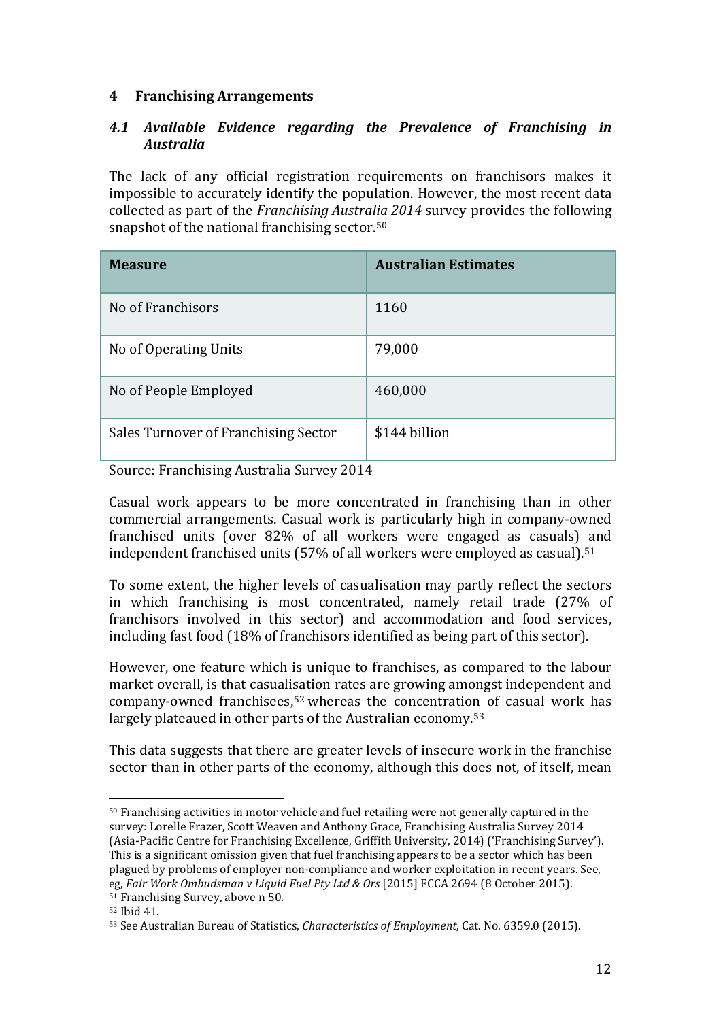## **4 Franchising Arrangements**

### *4.1 Available Evidence regarding the Prevalence of Franchising in Australia*

The lack of any official registration requirements on franchisors makes it impossible to accurately identify the population. However, the most recent data collected as part of the *Franchising Australia 2014* survey provides the following snapshot of the national franchising sector.<sup>[50](#page-13-0)</sup>

| <b>Measure</b>                       | <b>Australian Estimates</b> |
|--------------------------------------|-----------------------------|
| No of Franchisors                    | 1160                        |
| No of Operating Units                | 79,000                      |
| No of People Employed                | 460,000                     |
| Sales Turnover of Franchising Sector | \$144 billion               |

Source: Franchising Australia Survey 2014

Casual work appears to be more concentrated in franchising than in other commercial arrangements. Casual work is particularly high in company-owned franchised units (over 82% of all workers were engaged as casuals) and independent franchised units (57% of all workers were employed as casual). [51](#page-13-1)

To some extent, the higher levels of casualisation may partly reflect the sectors in which franchising is most concentrated, namely retail trade (27% of franchisors involved in this sector) and accommodation and food services, including fast food (18% of franchisors identified as being part of this sector).

However, one feature which is unique to franchises, as compared to the labour market overall, is that casualisation rates are growing amongst independent and company-owned franchisees,[52](#page-13-2) whereas the concentration of casual work has largely plateaued in other parts of the Australian economy.[53](#page-13-3)

This data suggests that there are greater levels of insecure work in the franchise sector than in other parts of the economy, although this does not, of itself, mean

<span id="page-13-0"></span> $^{\rm 50}$  Franchising activities in motor vehicle and fuel retailing were not generally captured in the survey: Lorelle Frazer, Scott Weaven and Anthony Grace, Franchising Australia Survey 2014 (Asia-Pacific Centre for Franchising Excellence, Griffith University, 2014) ('Franchising Survey'). This is a significant omission given that fuel franchising appears to be a sector which has been plagued by problems of employer non-compliance and worker exploitation in recent years. See, eg, *Fair Work Ombudsman v Liquid Fuel Pty Ltd & Ors* [2015] FCCA 2694 (8 October 2015). <sup>51</sup> Franchising Survey, above n 50. l

<span id="page-13-2"></span><span id="page-13-1"></span><sup>52</sup> Ibid 41.

<span id="page-13-3"></span><sup>53</sup> See Australian Bureau of Statistics, *Characteristics of Employment*, Cat. No. 6359.0 (2015).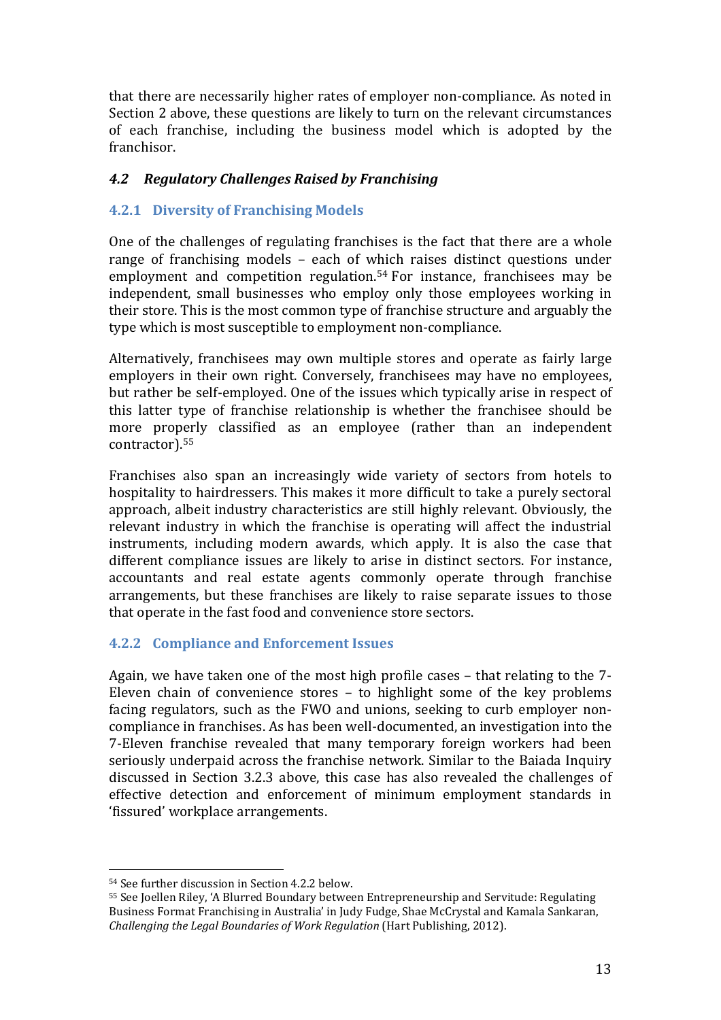that there are necessarily higher rates of employer non-compliance. As noted in Section 2 above, these questions are likely to turn on the relevant circumstances of each franchise, including the business model which is adopted by the franchisor.

### *4.2 Regulatory Challenges Raised by Franchising*

### **4.2.1 Diversity of Franchising Models**

One of the challenges of regulating franchises is the fact that there are a whole range of franchising models – each of which raises distinct questions under employment and competition regulation.<sup>[54](#page-14-0)</sup> For instance, franchisees may be independent, small businesses who employ only those employees working in their store. This is the most common type of franchise structure and arguably the type which is most susceptible to employment non-compliance.

Alternatively, franchisees may own multiple stores and operate as fairly large employers in their own right. Conversely, franchisees may have no employees, but rather be self-employed. One of the issues which typically arise in respect of this latter type of franchise relationship is whether the franchisee should be more properly classified as an employee (rather than an independent contractor).[55](#page-14-1)

Franchises also span an increasingly wide variety of sectors from hotels to hospitality to hairdressers. This makes it more difficult to take a purely sectoral approach, albeit industry characteristics are still highly relevant. Obviously, the relevant industry in which the franchise is operating will affect the industrial instruments, including modern awards, which apply. It is also the case that different compliance issues are likely to arise in distinct sectors. For instance, accountants and real estate agents commonly operate through franchise arrangements, but these franchises are likely to raise separate issues to those that operate in the fast food and convenience store sectors.

# **4.2.2 Compliance and Enforcement Issues**

Again, we have taken one of the most high profile cases – that relating to the 7- Eleven chain of convenience stores – to highlight some of the key problems facing regulators, such as the FWO and unions, seeking to curb employer noncompliance in franchises. As has been well-documented, an investigation into the 7-Eleven franchise revealed that many temporary foreign workers had been seriously underpaid across the franchise network. Similar to the Baiada Inquiry discussed in Section 3.2.3 above, this case has also revealed the challenges of effective detection and enforcement of minimum employment standards in 'fissured' workplace arrangements.

<sup>54</sup> See further discussion in Section 4.2.2 below. l

<span id="page-14-1"></span><span id="page-14-0"></span><sup>55</sup> See Joellen Riley, 'A Blurred Boundary between Entrepreneurship and Servitude: Regulating Business Format Franchising in Australia' in Judy Fudge, Shae McCrystal and Kamala Sankaran, *Challenging the Legal Boundaries of Work Regulation* (Hart Publishing, 2012).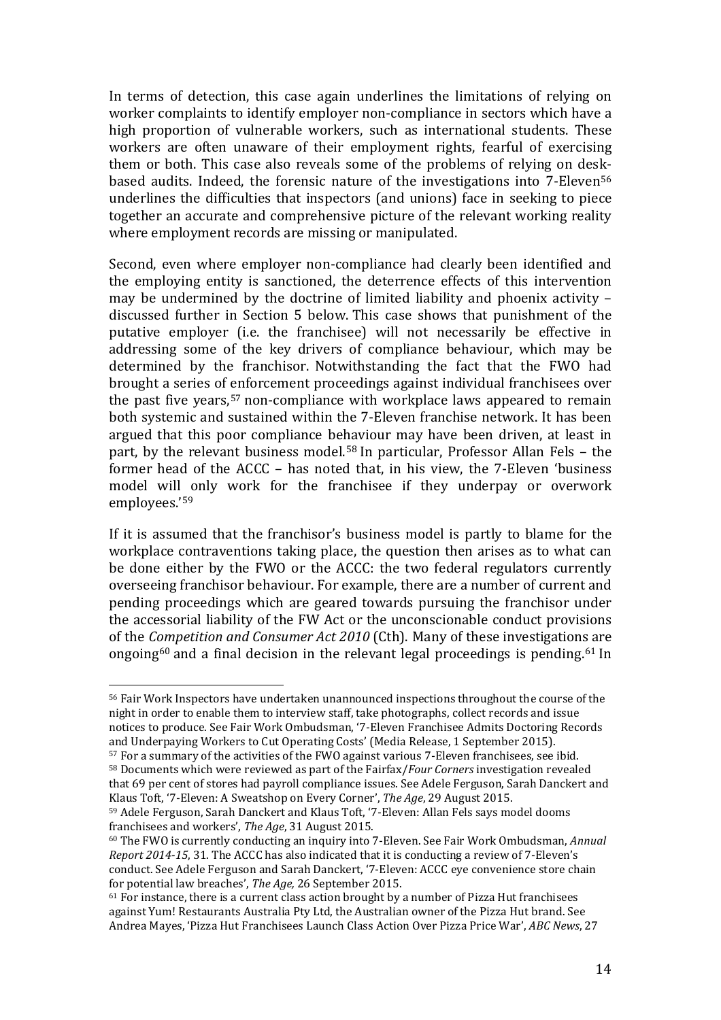In terms of detection, this case again underlines the limitations of relying on worker complaints to identify employer non-compliance in sectors which have a high proportion of vulnerable workers, such as international students. These workers are often unaware of their employment rights, fearful of exercising them or both. This case also reveals some of the problems of relying on desk-based audits. Indeed, the forensic nature of the investigations into 7-Eleven<sup>[56](#page-15-0)</sup> underlines the difficulties that inspectors (and unions) face in seeking to piece together an accurate and comprehensive picture of the relevant working reality where employment records are missing or manipulated.

Second, even where employer non-compliance had clearly been identified and the employing entity is sanctioned, the deterrence effects of this intervention may be undermined by the doctrine of limited liability and phoenix activity – discussed further in Section 5 below. This case shows that punishment of the putative employer (i.e. the franchisee) will not necessarily be effective in addressing some of the key drivers of compliance behaviour, which may be determined by the franchisor. Notwithstanding the fact that the FWO had brought a series of enforcement proceedings against individual franchisees over the past five years,[57](#page-15-1) non-compliance with workplace laws appeared to remain both systemic and sustained within the 7-Eleven franchise network. It has been argued that this poor compliance be[ha](#page-15-2)viour may have been driven, at least in part, by the relevant business model. <sup>58</sup> In particular, Professor Allan Fels – the former head of the ACCC – has noted that, in his view, the 7-Eleven 'business model will only work for the franchisee if they underpay or overwork employees.'[59](#page-15-3)

If it is assumed that the franchisor's business model is partly to blame for the workplace contraventions taking place, the question then arises as to what can be done either by the FWO or the ACCC: the two federal regulators currently overseeing franchisor behaviour. For example, there are a number of current and pending proceedings which are geared towards pursuing the franchisor under the accessorial liability of the FW Act or the unconscionable conduct provisions of the *Competition and Consumer Act 2010* (Cth). Many of these investigations are ongoing[60](#page-15-4) and a final decision in the relevant legal proceedings is pending. [61](#page-15-5) In

<span id="page-15-0"></span><sup>&</sup>lt;sup>56</sup> Fair Work Inspectors have undertaken unannounced inspections throughout the course of the night in order to enable them to interview staff, take photographs, collect records and issue notices to produce. See Fair Work Ombudsman, '7-Eleven Franchisee Admits Doctoring Records and Underpaying Workers to Cut Operating Costs' (Media Release, 1 September 2015). l

<span id="page-15-2"></span><span id="page-15-1"></span><sup>57</sup> For a summary of the activities of the FWO against various 7-Eleven franchisees, see ibid. <sup>58</sup> Documents which were reviewed as part of the Fairfax/*Four Corners* investigation revealed that 69 per cent of stores had payroll compliance issues. See Adele Ferguson, Sarah Danckert and Klaus Toft, '7-Eleven: A Sweatshop on Every Corner', *The Age*, 29 August 2015.

<span id="page-15-3"></span> $59$  Adele Ferguson, Sarah Danckert and Klaus Toft, '7-Eleven: Allan Fels says model dooms franchisees and workers', The Age, 31 August 2015.

<span id="page-15-4"></span><sup>&</sup>lt;sup>60</sup> The FWO is currently conducting an inquiry into 7-Eleven. See Fair Work Ombudsman, *Annual Report 2014-15*, 31. The ACCC has also indicated that it is conducting a review of 7-Eleven's conduct. See Adele Ferguson and Sarah Danckert, '7-Eleven: ACCC eye convenience store chain for potential law breaches', *The Age,* 26 September 2015.

<span id="page-15-5"></span> $61$  For instance, there is a current class action brought by a number of Pizza Hut franchisees against Yum! Restaurants Australia Pty Ltd, the Australian owner of the Pizza Hut brand. See Andrea Mayes, 'Pizza Hut Franchisees Launch Class Action Over Pizza Price War', *ABC News*, 27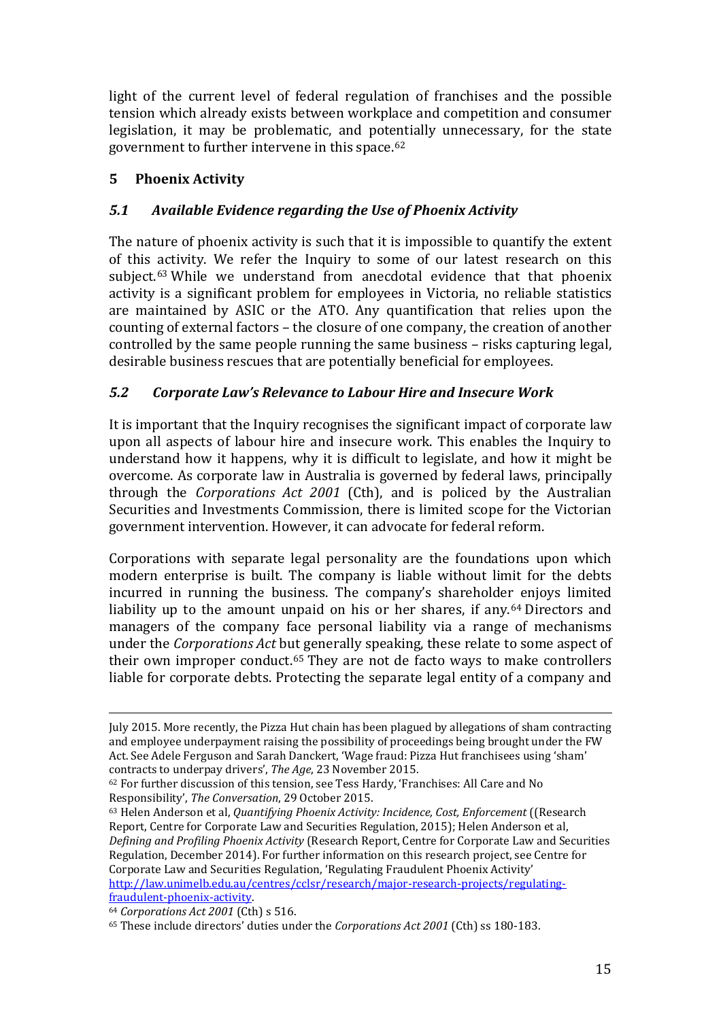light of the current level of federal regulation of franchises and the possible tension which already exists between workplace and competition and consumer legislation, it may be problematic, and potentially unnecessary, for the state government to further intervene in this space.[62](#page-16-0)

# **5 Phoenix Activity**

# *5.1 Available Evidence regarding the Use of Phoenix Activity*

The nature of phoenix activity is such that it is impossible to quantify the extent of this activity. We refer the Inquiry to some of our latest research on this subject.[63](#page-16-1) While we understand from anecdotal evidence that that phoenix activity is a significant problem for employees in Victoria, no reliable statistics are maintained by ASIC or the ATO. Any quantification that relies upon the counting of external factors – the closure of one company, the creation of another controlled by the same people running the same business – risks capturing legal, desirable business rescues that are potentially beneficial for employees.

# *5.2 Corporate Law's Relevance to Labour Hire and Insecure Work*

It is important that the Inquiry recognises the significant impact of corporate law upon all aspects of labour hire and insecure work. This enables the Inquiry to understand how it happens, why it is difficult to legislate, and how it might be overcome. As corporate law in Australia is governed by federal laws, principally through the *Corporations Act 2001* (Cth), and is policed by the Australian Securities and Investments Commission, there is limited scope for the Victorian government intervention. However, it can advocate for federal reform.

Corporations with separate legal personality are the foundations upon which modern enterprise is built. The company is liable without limit for the debts incurred in running the business. The company's shareholder enjoys limited liability up to the amount unpaid on his or her shares, if any.<sup>[64](#page-16-2)</sup> Directors and managers of the company face personal liability via a range of mechanisms under the *Corporations Act* but generally speaking, these relate to some aspect of their own improper conduct.[65](#page-16-3) They are not de facto ways to make controllers liable for corporate debts. Protecting the separate legal entity of a company and

<span id="page-16-1"></span><sup>63</sup> Helen Anderson et al, *Quantifying Phoenix Activity: Incidence, Cost, Enforcement* ((Research Report, Centre for Corporate Law and Securities Regulation, 2015); Helen Anderson et al, *Defining and Profiling Phoenix Activity* (Research Report, Centre for Corporate Law and Securities Regulation, December 2014). For further information on this research project, see Centre for Corporate Law and Securities Regulation, 'Regulating Fraudulent Phoenix Activity' [http://law.unimelb.edu.au/centres/cclsr/research/major-research-projects/regulating](http://law.unimelb.edu.au/centres/cclsr/research/major-research-projects/regulating-fraudulent-phoenix-activity)[fraudulent-phoenix-activity.](http://law.unimelb.edu.au/centres/cclsr/research/major-research-projects/regulating-fraudulent-phoenix-activity)

July 2015. More recently, the Pizza Hut chain has been plagued by allegations of sham contracting and employee underpayment raising the possibility of proceedings being brought under the FW Act. See Adele Ferguson and Sarah Danckert, 'Wage fraud: Pizza Hut franchisees using 'sham' contracts to underpay drivers', The Age, 23 November 2015. I

<span id="page-16-0"></span><sup>&</sup>lt;sup>62</sup> For further discussion of this tension, see Tess Hardy, 'Franchises: All Care and No Responsibility', *The Conversation*, 29 October 2015.

<span id="page-16-2"></span><sup>64</sup> *Corporations Act 2001* (Cth) s 516.

<span id="page-16-3"></span><sup>65</sup> These include directors' duties under the *Corporations Act 2001* (Cth) ss 180-183.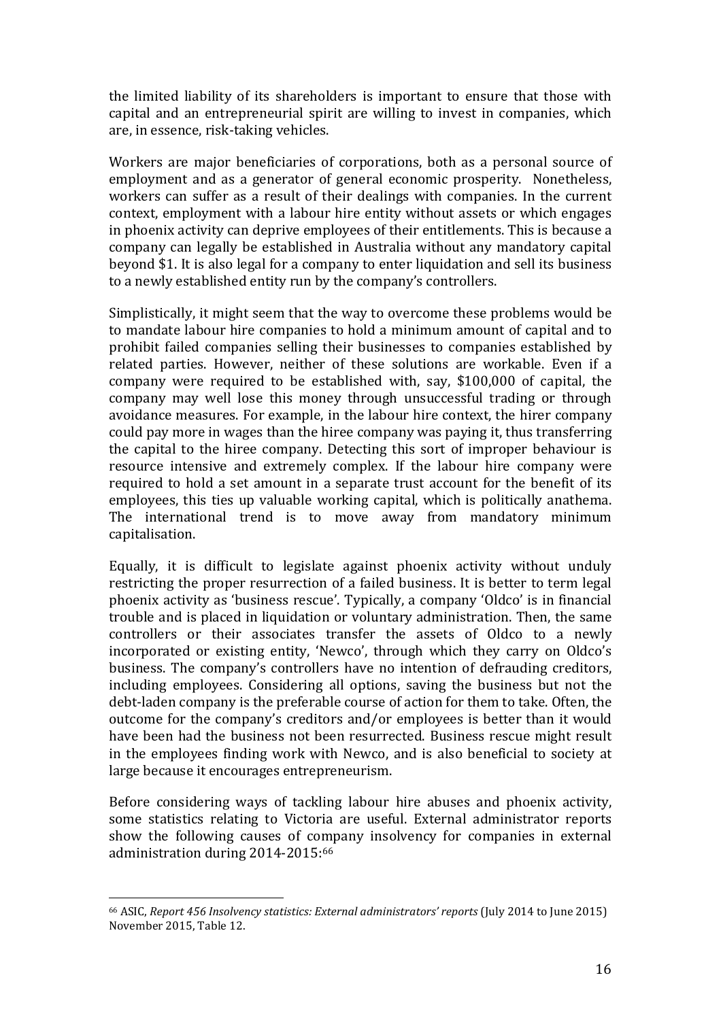the limited liability of its shareholders is important to ensure that those with capital and an entrepreneurial spirit are willing to invest in companies, which are, in essence, risk-taking vehicles.

Workers are major beneficiaries of corporations, both as a personal source of employment and as a generator of general economic prosperity. Nonetheless, workers can suffer as a result of their dealings with companies. In the current context, employment with a labour hire entity without assets or which engages in phoenix activity can deprive employees of their entitlements. This is because a company can legally be established in Australia without any mandatory capital beyond \$1. It is also legal for a company to enter liquidation and sell its business to a newly established entity run by the company's controllers.

Simplistically, it might seem that the way to overcome these problems would be to mandate labour hire companies to hold a minimum amount of capital and to prohibit failed companies selling their businesses to companies established by related parties. However, neither of these solutions are workable. Even if a company were required to be established with, say, \$100,000 of capital, the company may well lose this money through unsuccessful trading or through avoidance measures. For example, in the labour hire context, the hirer company could pay more in wages than the hiree company was paying it, thus transferring the capital to the hiree company. Detecting this sort of improper behaviour is resource intensive and extremely complex. If the labour hire company were required to hold a set amount in a separate trust account for the benefit of its employees, this ties up valuable working capital, which is politically anathema. The international trend is to move away from mandatory minimum capitalisation.

Equally, it is difficult to legislate against phoenix activity without unduly restricting the proper resurrection of a failed business. It is better to term legal phoenix activity as 'business rescue'. Typically, a company 'Oldco' is in financial trouble and is placed in liquidation or voluntary administration. Then, the same controllers or their associates transfer the assets of Oldco to a newly incorporated or existing entity, 'Newco', through which they carry on Oldco's business. The company's controllers have no intention of defrauding creditors, including employees. Considering all options, saving the business but not the debt-laden company is the preferable course of action for them to take. Often, the outcome for the company's creditors and/or employees is better than it would have been had the business not been resurrected. Business rescue might result in the employees finding work with Newco, and is also beneficial to society at large because it encourages entrepreneurism.

Before considering ways of tackling labour hire abuses and phoenix activity, some statistics relating to Victoria are useful. External administrator reports show the following causes of company insolvency for companies in external administration during 2014-2015:[66](#page-17-0)

<span id="page-17-0"></span><sup>66</sup> ASIC, *Report 456 Insolvency statistics: External administrators' reports* (July 2014 to June 2015) November 2015, Table 12. i<br>I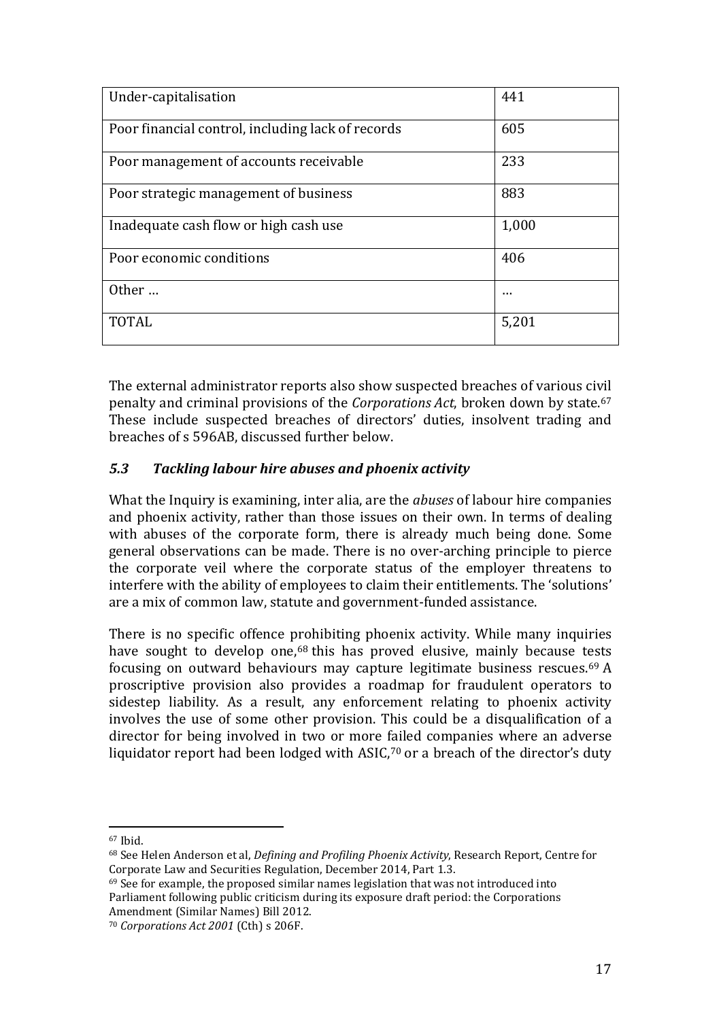| Under-capitalisation                              | 441   |
|---------------------------------------------------|-------|
| Poor financial control, including lack of records | 605   |
| Poor management of accounts receivable            | 233   |
| Poor strategic management of business             | 883   |
| Inadequate cash flow or high cash use             | 1,000 |
| Poor economic conditions                          | 406   |
| Other                                             |       |
| <b>TOTAL</b>                                      | 5,201 |

The external administrator reports also show suspected breaches of various civil penalty and criminal provisions of the *Corporations Act*, broken down by state.[67](#page-18-0) These include suspected breaches of directors' duties, insolvent trading and breaches of s 596AB, discussed further below.

### *5.3 Tackling labour hire abuses and phoenix activity*

What the Inquiry is examining, inter alia, are the *abuses* of labour hire companies and phoenix activity, rather than those issues on their own. In terms of dealing with abuses of the corporate form, there is already much being done. Some general observations can be made. There is no over-arching principle to pierce the corporate veil where the corporate status of the employer threatens to interfere with the ability of employees to claim their entitlements. The 'solutions' are a mix of common law, statute and government-funded assistance.

There is no specific offence prohibiting phoenix activity. While many inquiries have sought to develop one,<sup>[68](#page-18-1)</sup> this has proved elusive, mainly because tests focusing on outward behaviours may capture legitimate business rescues.[69](#page-18-2) A proscriptive provision also provides a roadmap for fraudulent operators to sidestep liability. As a result, any enforcement relating to phoenix activity involves the use of some other provision. This could be a disqualification of a director for being involved in two or more failed companies where an adverse liquidator report had been lodged with ASIC,<sup>[70](#page-18-3)</sup> or a breach of the director's duty

<span id="page-18-2"></span> $69$  See for example, the proposed similar names legislation that was not introduced into Parliament following public criticism during its exposure draft period: the Corporations Amendment (Similar Names) Bill 2012.

<sup>67</sup> Ibid. i<br>I

<span id="page-18-1"></span><span id="page-18-0"></span><sup>68</sup> See Helen Anderson et al, *Defining and Profiling Phoenix Activity*, Research Report, Centre for Corporate Law and Securities Regulation, December 2014, Part 1.3.

<span id="page-18-3"></span><sup>70</sup> *Corporations Act 2001* (Cth) s 206F.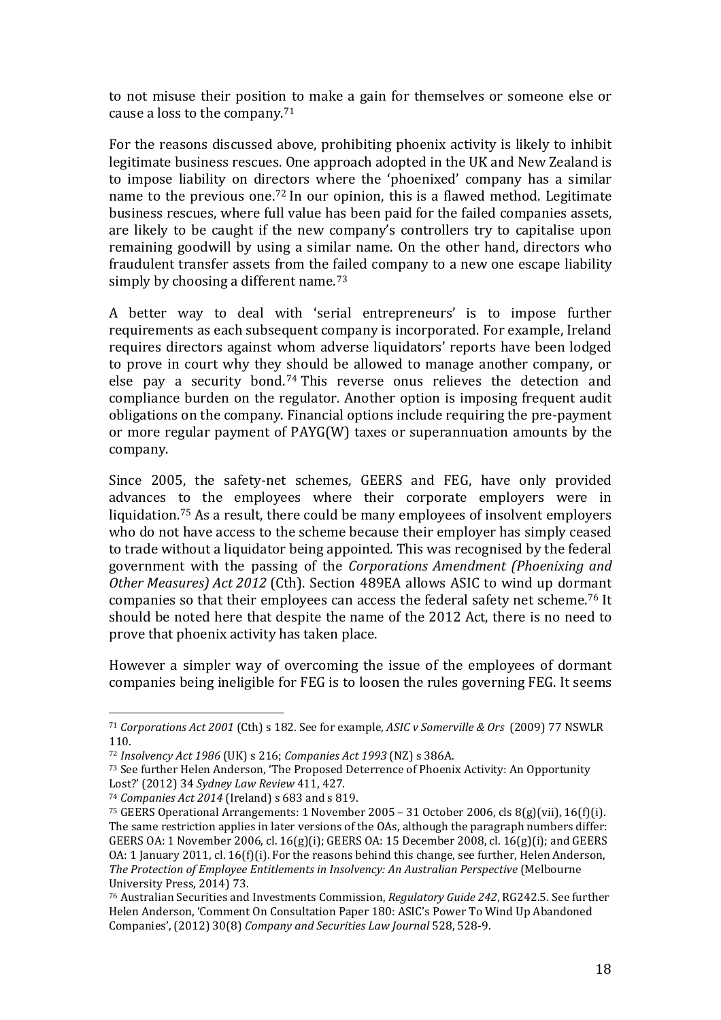to not misuse their position to make a gain for themselves or someone else or cause a loss to the company.[71](#page-19-0)

For the reasons discussed above, prohibiting phoenix activity is likely to inhibit legitimate business rescues. One approach adopted in the UK and New Zealand is to impose liability on directors where the 'phoenixed' company has a similar name to the previous one.[72](#page-19-1) In our opinion, this is a flawed method. Legitimate business rescues, where full value has been paid for the failed companies assets, are likely to be caught if the new company's controllers try to capitalise upon remaining goodwill by using a similar name. On the other hand, directors who fraudulent transfer assets from the failed company to a new one escape liability simply by choosing a different name.<sup>[73](#page-19-2)</sup>

A better way to deal with 'serial entrepreneurs' is to impose further requirements as each subsequent company is incorporated. For example, Ireland requires directors against whom adverse liquidators' reports have been lodged to prove in court why they should be allowed to manage another company, or else pay a security bond.[74](#page-19-3) This reverse onus relieves the detection and compliance burden on the regulator. Another option is imposing frequent audit obligations on the company. Financial options include requiring the pre-payment or more regular payment of PAYG(W) taxes or superannuation amounts by the company.

Since 2005, the safety-net schemes, GEERS and FEG, have only provided advances to the employees where their corporate employers were in liquidation.[75](#page-19-4) As a result, there could be many employees of insolvent employers who do not have access to the scheme because their employer has simply ceased to trade without a liquidator being appointed. This was recognised by the federal government with the passing of the *Corporations Amendment (Phoenixing and Other Measures) Act 2012* (Cth). Section 489EA allows ASIC to wind up dormant companies so that their employees can access the federal safety net scheme.[76](#page-19-5) It should be noted here that despite the name of the 2012 Act, there is no need to prove that phoenix activity has taken place.

However a simpler way of overcoming the issue of the employees of dormant companies being ineligible for FEG is to loosen the rules governing FEG. It seems

<span id="page-19-0"></span><sup>71</sup> *Corporations Act 2001* (Cth) s 182. See for example, *ASIC v Somerville & Ors* (2009) 77 NSWLR 110. l

<span id="page-19-1"></span><sup>72</sup> *Insolvency Act 1986* (UK) s 216; *Companies Act 1993* (NZ) s 386A.

<span id="page-19-2"></span><sup>73</sup> See further Helen Anderson, 'The Proposed Deterrence of Phoenix Activity: An Opportunity Lost?' (2012) 34 *Sydney Law Review* 411, 427.

<span id="page-19-3"></span><sup>74</sup> *Companies Act 2014* (Ireland) s 683 and s 819.

<span id="page-19-4"></span><sup>75</sup> GEERS Operational Arrangements: 1 November 2005 – 31 October 2006, cls 8(g)(vii), 16(f)(i). The same restriction applies in later versions of the OAs, although the paragraph numbers differ: GEERS OA: 1 November 2006, cl. 16(g)(i); GEERS OA: 15 December 2008, cl. 16(g)(i); and GEERS OA: 1 January 2011, cl. 16(f)(i). For the reasons behind this change, see further, Helen Anderson, *The Protection of Employee Entitlements in Insolvency: An Australian Perspective* (Melbourne University Press, 2014) 73.

<span id="page-19-5"></span><sup>76</sup> Australian Securities and Investments Commission, *Regulatory Guide 242*, RG242.5. See further Helen Anderson, 'Comment On Consultation Paper 180: ASIC's Power To Wind Up Abandoned Companies', (2012) 30(8) *Company and Securities Law Journal* 528, 528-9.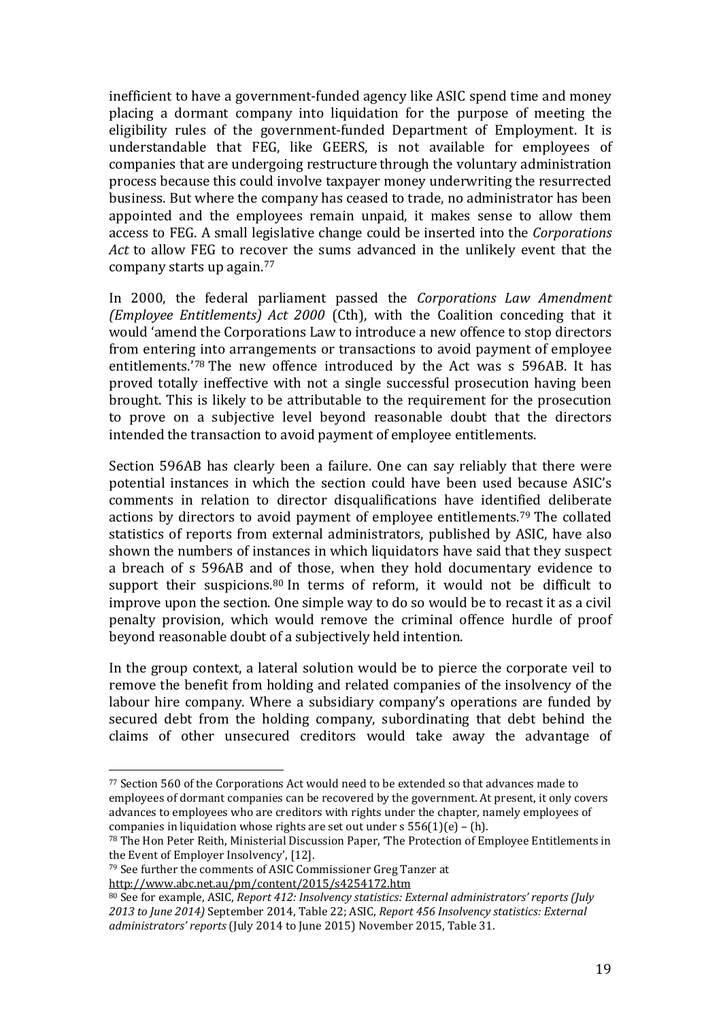inefficient to have a government-funded agency like ASIC spend time and money placing a dormant company into liquidation for the purpose of meeting the eligibility rules of the government-funded Department of Employment. It is understandable that FEG, like GEERS, is not available for employees of companies that are undergoing restructure through the voluntary administration process because this could involve taxpayer money underwriting the resurrected business. But where the company has ceased to trade, no administrator has been appointed and the employees remain unpaid, it makes sense to allow them access to FEG. A small legislative change could be inserted into the *Corporations Act* to allow FEG to recover the sums advanced in the unlikely event that the company starts up again.[77](#page-20-0)

In 2000, the federal parliament passed the *Corporations Law Amendment (Employee Entitlements) Act 2000* (Cth), with the Coalition conceding that it would 'amend the Corporations Law to introduce a new offence to stop directors from entering into arrangements or transactions to avoid payment of employee entitlements.'[78](#page-20-1) The new offence introduced by the Act was s 596AB. It has proved totally ineffective with not a single successful prosecution having been brought. This is likely to be attributable to the requirement for the prosecution to prove on a subjective level beyond reasonable doubt that the directors intended the transaction to avoid payment of employee entitlements.

Section 596AB has clearly been a failure. One can say reliably that there were potential instances in which the section could have been used because ASIC's comments in relation to director disqualifications have identified deliberate actions by directors to avoid payment of employee entitlements.[79](#page-20-2) The collated statistics of reports from external administrators, published by ASIC, have also shown the numbers of instances in which liquidators have said that they suspect a breach of s 596AB and of those, when they hold documentary evidence to support their suspicions.<sup>[80](#page-20-3)</sup> In terms of reform, it would not be difficult to improve upon the section. One simple way to do so would be to recast it as a civil penalty provision, which would remove the criminal offence hurdle of proof beyond reasonable doubt of a subjectively held intention.

In the group context, a lateral solution would be to pierce the corporate veil to remove the benefit from holding and related companies of the insolvency of the labour hire company. Where a subsidiary company's operations are funded by secured debt from the holding company, subordinating that debt behind the claims of other unsecured creditors would take away the advantage of

<span id="page-20-0"></span> $\frac{7}{2}$  Section 560 of the Corporations Act would need to be extended so that advances made to employees of dormant companies can be recovered by the government. At present, it only covers advances to employees who are creditors with rights under the chapter, namely employees of companies in liquidation whose rights are set out under  $s$  556(1)(e) – (h). l

<span id="page-20-1"></span><sup>78</sup> The Hon Peter Reith, Ministerial Discussion Paper, 'The Protection of Employee Entitlements in the Event of Employer Insolvency', [12].

<span id="page-20-2"></span><sup>79</sup> See further the comments of ASIC Commissioner Greg Tanzer at

<http://www.abc.net.au/pm/content/2015/s4254172.htm>

<span id="page-20-3"></span><sup>80</sup> See for example, ASIC, *Report 412: Insolvency statistics: External administrators' reports (July 2013 to June 2014)* September 2014, Table 22; ASIC, *Report 456 Insolvency statistics: External administrators' reports* (July 2014 to June 2015) November 2015, Table 31.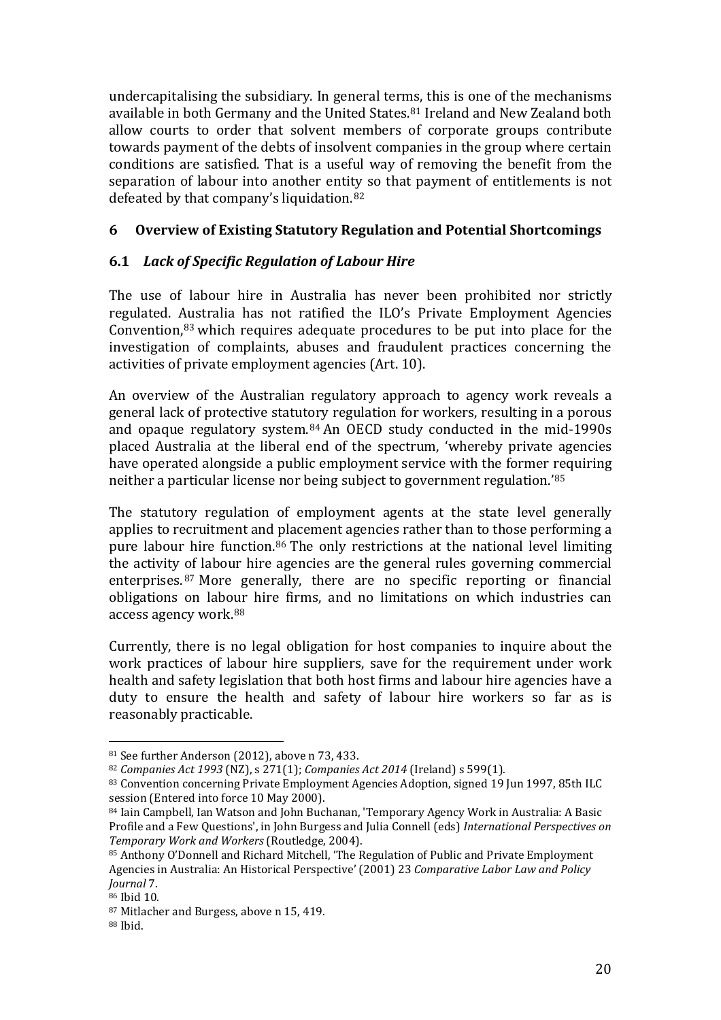undercapitalising the subsidiary. In general terms, this is one of the mechanisms available in both Germany and the United States.<sup>[81](#page-21-0)</sup> Ireland and New Zealand both allow courts to order that solvent members of corporate groups contribute towards payment of the debts of insolvent companies in the group where certain conditions are satisfied. That is a useful way of removing the benefit from the separation of labour into another entity so that payment of entitlements is not defeated by that company's liquidation.[82](#page-21-1)

## **6 Overview of Existing Statutory Regulation and Potential Shortcomings**

# **6.1** *Lack of Specific Regulation of Labour Hire*

The use of labour hire in Australia has never been prohibited nor strictly regulated. Australia has not ratified the ILO's Private Employment Agencies Convention,[83](#page-21-2) which requires adequate procedures to be put into place for the investigation of complaints, abuses and fraudulent practices concerning the activities of private employment agencies (Art. 10).

An overview of the Australian regulatory approach to agency work reveals a general lack of protective statutory regulation for workers, resulting in a porous and opaque regulatory system.[84](#page-21-3) An OECD study conducted in the mid-1990s placed Australia at the liberal end of the spectrum, 'whereby private agencies have operated alongside a public employment service with the former requiring neither a particular license nor being subject to government regulation.'[85](#page-21-4)

The statutory regulation of employment agents at the state level generally applies to recruitment and placement agencies rather than to those performing a pure labour hire function.[86](#page-21-5) The only restrictions at the national level limiting the activity of labour hire agencies are the general rules governing commercial enterprises.[87](#page-21-6) More generally, there are no specific reporting or financial obligations on labour hire firms, and no limitations on which industries can access agency work.[88](#page-21-7)

Currently, there is no legal obligation for host companies to inquire about the work practices of labour hire suppliers, save for the requirement under work health and safety legislation that both host firms and labour hire agencies have a duty to ensure the health and safety of labour hire workers so far as is reasonably practicable.

<sup>81</sup> See further Anderson (2012), above n 73, 433. i<br>I

<span id="page-21-1"></span><span id="page-21-0"></span><sup>82</sup> *Companies Act 1993* (NZ), s 271(1); *Companies Act 2014* (Ireland) s 599(1).

<span id="page-21-2"></span><sup>83</sup> Convention concerning Private Employment Agencies Adoption, signed 19 Jun 1997, 85th ILC session (Entered into force 10 May 2000).

<span id="page-21-3"></span><sup>84</sup> Iain Campbell, Ian Watson and John Buchanan, 'Temporary Agency Work in Australia: A Basic Profile and a Few Questions', in John Burgess and Julia Connell (eds) *International Perspectives on Temporary Work and Workers* (Routledge, 2004).

<span id="page-21-4"></span><sup>85</sup> Anthony O'Donnell and Richard Mitchell, 'The Regulation of Public and Private Employment Agencies in Australia: An Historical Perspective' (2001) 23 *Comparative Labor Law and Policy Journal* 7.

<span id="page-21-5"></span><sup>86</sup> Ibid 10.

<span id="page-21-6"></span><sup>87</sup> Mitlacher and Burgess, above n 15, 419.

<span id="page-21-7"></span><sup>88</sup> Ibid.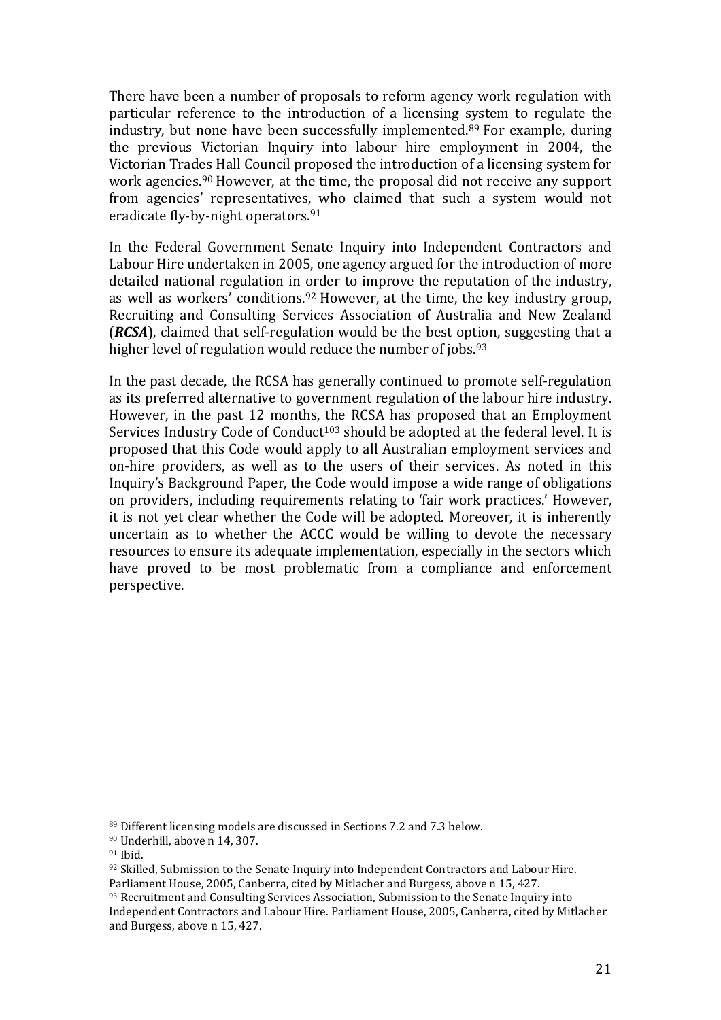There have been a number of proposals to reform agency work regulation with particular reference to the introduction of a licensing [sys](#page-22-0)tem to regulate the industry, but none have been successfully implemented. <sup>89</sup> For example, during the previous Victorian Inquiry into labour hire employment in 2004, the Victorian Trades Hall Council proposed the introduction of a licensing system for work agencies.<sup>[90](#page-22-1)</sup> However, at the time, the proposal did not receive any support from agencies' representatives, who claimed that such a system would not eradicate fly-by-night operators.<sup>[91](#page-22-2)</sup>

In the Federal Government Senate Inquiry into Independent Contractors and Labour Hire undertaken in 2005, one agency argued for the introduction of more detailed national regulation in order to improve the reputation of the industry, as well as workers' conditions.<sup>92</sup> However, at the time, the key industry group, Recruiting and Consulting Services Association of Australia and New Zealand (*RCSA*), claimed that self-regulation would be the best option, suggesting that a higher level of regulation would reduce the number of jobs.<sup>[93](#page-22-4)</sup>

In the past decade, the RCSA has generally continued to promote self-regulation as its preferred alternative to government regulation of the labour hire industry. However, in the past 12 months, the RCSA has proposed that an Employment Services Industry Code of Conduct<sup>103</sup> should be adopted at the federal level. It is proposed that this Code would apply to all Australian employment services and on-hire providers, as well as to the users of their services. As noted in this Inquiry's Background Paper, the Code would impose a wide range of obligations on providers, including requirements relating to 'fair work practices.' However, it is not yet clear whether the Code will be adopted. Moreover, it is inherently uncertain as to whether the ACCC would be willing to devote the necessary resources to ensure its adequate implementation, especially in the sectors which have proved to be most problematic from a compliance and enforcement perspective.

<sup>89</sup> Different licensing models are discussed in Sections 7.2 and 7.3 below. l

<span id="page-22-1"></span><span id="page-22-0"></span><sup>90</sup> Underhill, above n 14, 307.

<span id="page-22-2"></span><sup>91</sup> Ibid.

<span id="page-22-3"></span><sup>92</sup> Skilled, Submission to the Senate Inquiry into Independent Contractors and Labour Hire. Parliament House, 2005, Canberra, cited by Mitlacher and Burgess, above n 15, 427.

<span id="page-22-4"></span><sup>93</sup> Recruitment and Consulting Services Association, Submission to the Senate Inquiry into Independent Contractors and Labour Hire. Parliament House, 2005, Canberra, cited by Mitlacher and Burgess, above n 15, 427.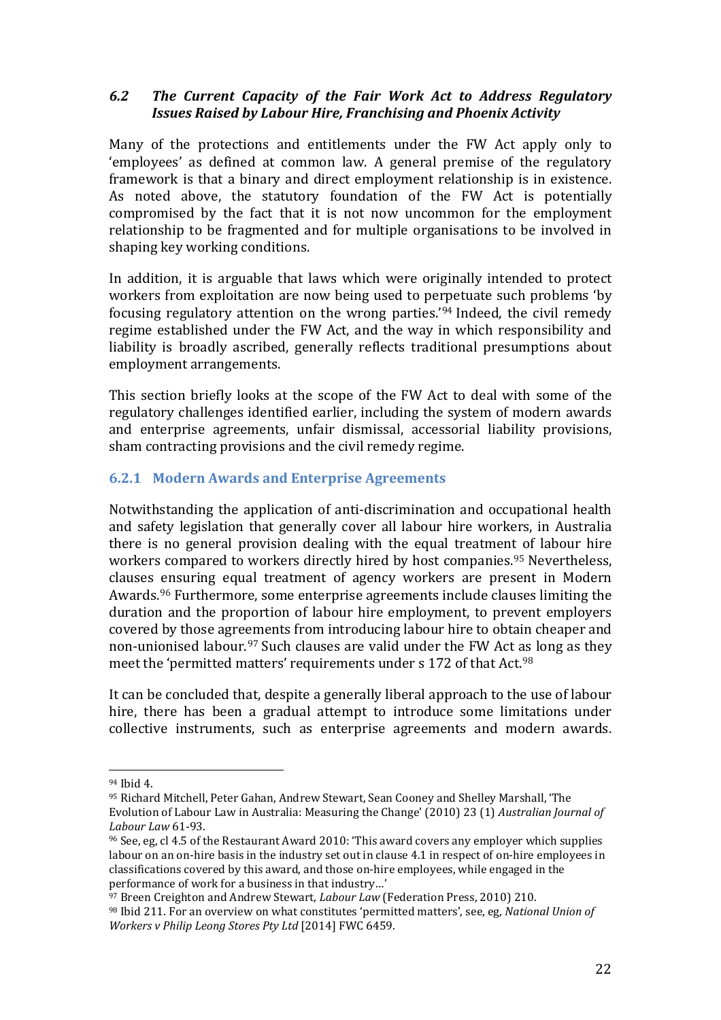## *6.2 The Current Capacity of the Fair Work Act to Address Regulatory Issues Raised by Labour Hire, Franchising and Phoenix Activity*

Many of the protections and entitlements under the FW Act apply only to 'employees' as defined at common law. A general premise of the regulatory framework is that a binary and direct employment relationship is in existence. As noted above, the statutory foundation of the FW Act is potentially compromised by the fact that it is not now uncommon for the employment relationship to be fragmented and for multiple organisations to be involved in shaping key working conditions.

In addition, it is arguable that laws which were originally intended to protect workers from exploitation are now being used to perpetuate such problems 'by focusing regulatory attention on the wrong parties.'[94](#page-23-0) Indeed, the civil remedy regime established under the FW Act, and the way in which responsibility and liability is broadly ascribed, generally reflects traditional presumptions about employment arrangements.

This section briefly looks at the scope of the FW Act to deal with some of the regulatory challenges identified earlier, including the system of modern awards and enterprise agreements, unfair dismissal, accessorial liability provisions, sham contracting provisions and the civil remedy regime.

# **6.2.1 Modern Awards and Enterprise Agreements**

Notwithstanding the application of anti-discrimination and occupational health and safety legislation that generally cover all labour hire workers, in Australia there is no general provision dealing with the equal treatment of labour hire workers compared to workers directly hired by host companies.[95](#page-23-1) Nevertheless, clauses ensuring equal treatment of agency workers are present in Modern Awards.[96](#page-23-2) Furthermore, some enterprise agreements include clauses limiting the duration and the proportion of labour hire employment, to prevent employers covered by those agreements from introducing labour hire to obtain cheaper and non-unionised labour.<sup>[97](#page-23-3)</sup> Such clauses are valid under the FW Act [as](#page-23-4) long as they meet the 'permitted matters' requirements under s 172 of that Act.<sup>98</sup>

It can be concluded that, despite a generally liberal approach to the use of labour hire, there has been a gradual attempt to introduce some limitations under collective instruments, such as enterprise agreements and modern awards.

<sup>&</sup>lt;sup>94</sup> Ibid 4. l

<span id="page-23-1"></span><span id="page-23-0"></span><sup>95</sup> Richard Mitchell, Peter Gahan, Andrew Stewart, Sean Cooney and Shelley Marshall, 'The Evolution of Labour Law in Australia: Measuring the Change' (2010) 23 (1) *Australian Journal of Labour Law* 61-93.

<span id="page-23-2"></span><sup>96</sup> See, eg, cl 4.5 of the Restaurant Award 2010: 'This award covers any employer which supplies labour on an on-hire basis in the industry set out in clause 4.1 in respect of on-hire employees in classifications covered by this award, and those on-hire employees, while engaged in the performance of work for a business in that industry…'

<span id="page-23-3"></span><sup>97</sup> Breen Creighton and Andrew Stewart, *Labour Law* (Federation Press, 2010) 210.

<span id="page-23-4"></span><sup>98</sup> Ibid 211. For an overview on what constitutes 'permitted matters', see, eg, *National Union of Workers v Philip Leong Stores Pty Ltd* [2014] FWC 6459.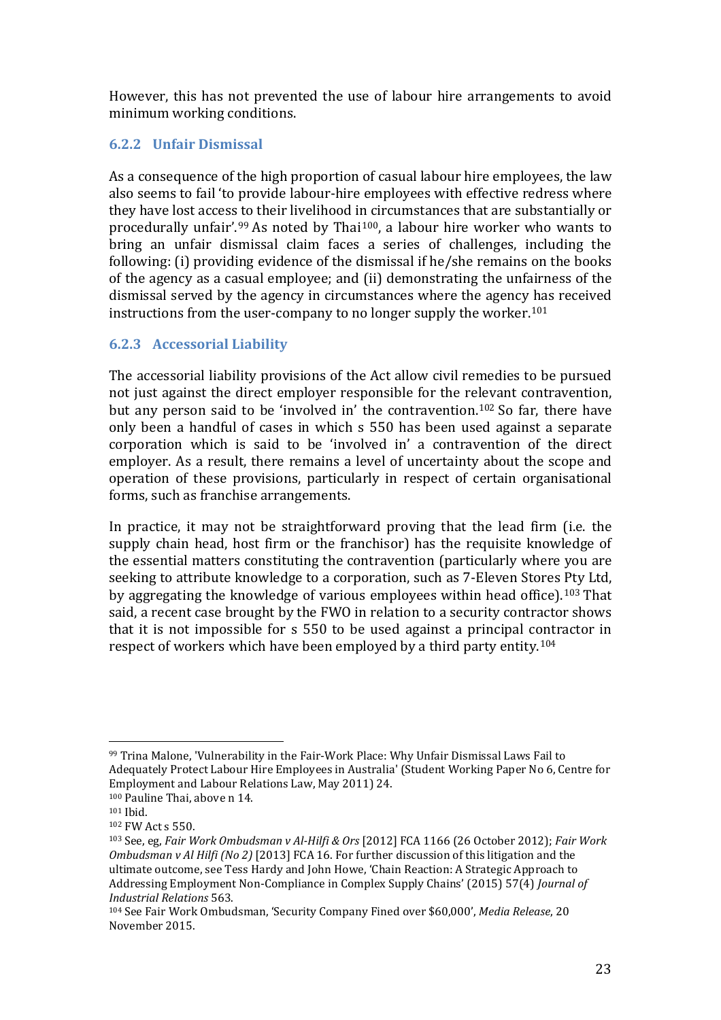However, this has not prevented the use of labour hire arrangements to avoid minimum working conditions.

## **6.2.2 Unfair Dismissal**

As a consequence of the high proportion of casual labour hire employees, the law also seems to fail 'to provide labour-hire employees with effective redress where they have lost access to their livelihood in circumstances that are substantially or procedurally unfair'.[99](#page-24-0) As noted by Thai[100](#page-24-1), a labour hire worker who wants to bring an unfair dismissal claim faces a series of challenges, including the following: (i) providing evidence of the dismissal if he/she remains on the books of the agency as a casual employee; and (ii) demonstrating the unfairness of the dismissal served by the agency in circumstances where the agency has received instructions from the user-company to no longer supply the worker.<sup>[101](#page-24-2)</sup>

# **6.2.3 Accessorial Liability**

The accessorial liability provisions of the Act allow civil remedies to be pursued not just against the direct employer responsible for the relevant contravention, but any person said to be 'involved in' the contravention.[102](#page-24-3) So far, there have only been a handful of cases in which s 550 has been used against a separate corporation which is said to be 'involved in' a contravention of the direct employer. As a result, there remains a level of uncertainty about the scope and operation of these provisions, particularly in respect of certain organisational forms, such as franchise arrangements.

In practice, it may not be straightforward proving that the lead firm (i.e. the supply chain head, host firm or the franchisor) has the requisite knowledge of the essential matters constituting the contravention (particularly where you are seeking to attribute knowledge to a corporation, such as 7-Eleven Stores Pty Ltd, by aggregating the knowledge of various employees within head office).[103](#page-24-4) That said, a recent case brought by the FWO in relation to a security contractor shows that it is not impossible for s 550 to be used against a principal contractor in respect of workers which have been employed by a third party entity.[104](#page-24-5)

<span id="page-24-0"></span><sup>99</sup> Trina Malone, 'Vulnerability in the Fair-Work Place: Why Unfair Dismissal Laws Fail to Adequately Protect Labour Hire Employees in Australia' (Student Working Paper No 6, Centre for Employment and Labour Relations Law, May 2011) 24. i<br>I

<span id="page-24-1"></span><sup>100</sup> Pauline Thai, above n 14.

<span id="page-24-2"></span><sup>101</sup> Ibid.

<span id="page-24-3"></span><sup>102</sup> FW Act s 550.

<span id="page-24-4"></span><sup>103</sup> See, eg, *[Fair Work Ombudsman v Al-Hilfi & Ors](http://www.austlii.edu.au/au/cases/cth/FCA/2012/1166.html)* [2012] FCA 1166 (26 October 2012); *Fair Work Ombudsman v Al Hilfi (No 2)* [2013] FCA 16. For further discussion of this litigation and the ultimate outcome, see Tess Hardy and John Howe, 'Chain Reaction: A Strategic Approach to Addressing Employment Non-Compliance in Complex Supply Chains' (2015) 57(4) *Journal of Industrial Relations* 563.

<span id="page-24-5"></span><sup>104</sup> See Fair Work Ombudsman, 'Security Company Fined over \$60,000', *Media Release*, 20 November 2015.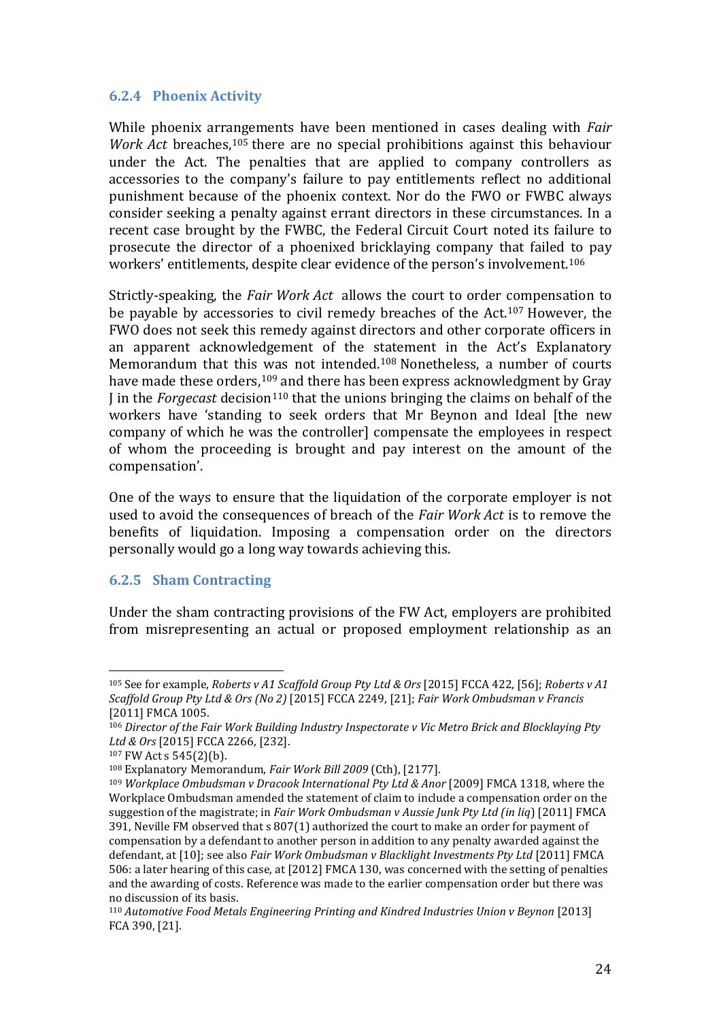#### **6.2.4 Phoenix Activity**

While phoenix arrangements have been mentioned in cases dealing with *Fair Work Act* breaches,<sup>[105](#page-25-0)</sup> there are no special prohibitions against this behaviour under the Act. The penalties that are applied to company controllers as accessories to the company's failure to pay entitlements reflect no additional punishment because of the phoenix context. Nor do the FWO or FWBC always consider seeking a penalty against errant directors in these circumstances. In a recent case brought by the FWBC, the Federal Circuit Court noted its failure to prosecute the director of a phoenixed bricklaying company that failed to pay workers' entitlements, despite clear evidence of the person's involvement.[106](#page-25-1)

Strictly-speaking, the *Fair Work Act* allows the court to order compensation to be payable by accessories to civil remedy breaches of the Act.[107](#page-25-2) However, the FWO does not seek this remedy against directors and other corporate officers in an apparent acknowledgement of the statement in the Act's Explanatory Memorandum that this [wa](#page-25-4)s not intended.[108](#page-25-3) Nonetheless, a number of courts have made these orders,<sup>109</sup> and there has been express acknowledgment by Gray I in the *Forgecast* decision<sup>[110](#page-25-5)</sup> that the unions bringing the claims on behalf of the workers have 'standing to seek orders that Mr Beynon and Ideal [the new company of which he was the controller] compensate the employees in respect of whom the proceeding is brought and pay interest on the amount of the compensation'.

One of the ways to ensure that the liquidation of the corporate employer is not used to avoid the consequences of breach of the *Fair Work Act* is to remove the benefits of liquidation. Imposing a compensation order on the directors personally would go a long way towards achieving this.

#### **6.2.5 Sham Contracting**

Under the sham contracting provisions of the FW Act, employers are prohibited from misrepresenting an actual or proposed employment relationship as an

<span id="page-25-0"></span><sup>105</sup> See for example, *Roberts v A1 Scaffold Group Pty Ltd & Ors* [2015] FCCA 422, [56]; *Roberts v A1 Scaffold Group Pty Ltd & Ors (No 2)* [2015] FCCA 2249, [21]; *Fair Work Ombudsman v Francis* [2011] FMCA 1005. j

<span id="page-25-1"></span><sup>106</sup> *Director of the Fair Work Building Industry Inspectorate v Vic Metro Brick and Blocklaying Pty Ltd & Ors* [2015] FCCA 2266, [232].

<span id="page-25-3"></span><span id="page-25-2"></span><sup>107</sup> FW Act s 545(2)(b).

<sup>108</sup> Explanatory Memorandum, *Fair Work Bill 2009* (Cth), [2177].

<span id="page-25-4"></span><sup>109</sup> *Workplace Ombudsman v Dracook International Pty Ltd & Anor* [2009] FMCA 1318, where the Workplace Ombudsman amended the statement of claim to include a compensation order on the suggestion of the magistrate; in *Fair Work Ombudsman v Aussie Junk Pty Ltd (in liq*) [2011] FMCA 391, Neville FM observed that s 807(1) authorized the court to make an order for payment of compensation by a defendant to another person in addition to any penalty awarded against the defendant, at [10]; see also *Fair Work Ombudsman v Blacklight Investments Pty Ltd* [2011] FMCA 506: a later hearing of this case, at [2012] FMCA 130, was concerned with the setting of penalties and the awarding of costs. Reference was made to the earlier compensation order but there was no discussion of its basis.

<span id="page-25-5"></span><sup>110</sup> *Automotive Food Metals Engineering Printing and Kindred Industries Union v Beynon* [2013] FCA 390, [21].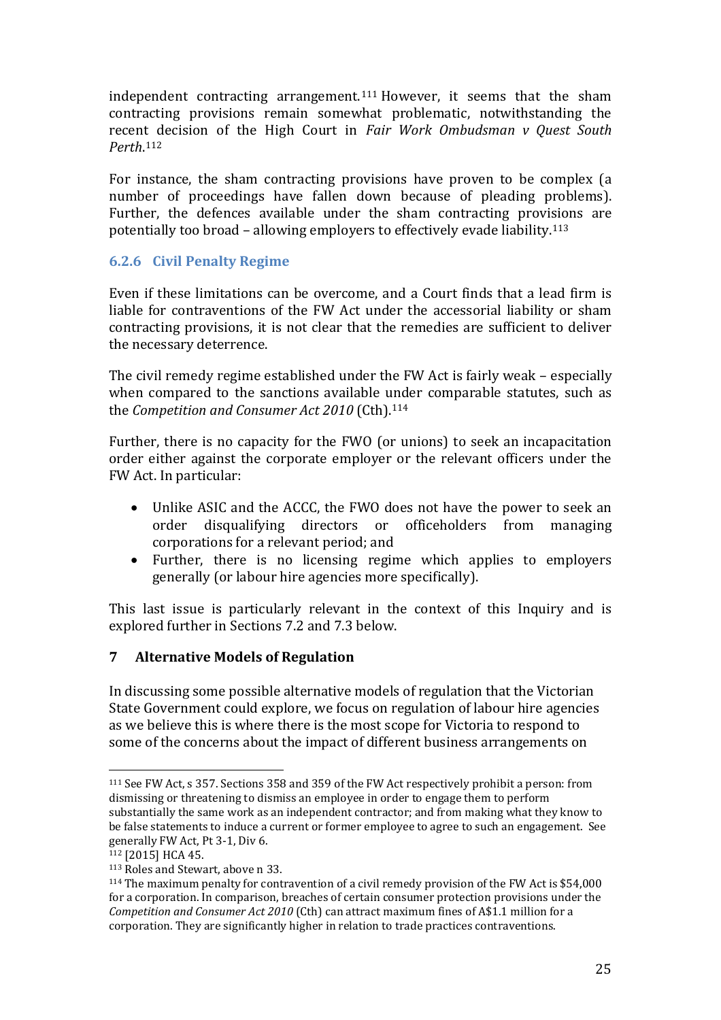independent contracting arrangement.[111](#page-26-0) However, it seems that the sham contracting provisions remain somewhat problematic, notwithstanding the recen[t d](#page-26-1)ecision of the High Court in *Fair Work Ombudsman v Quest South Perth*. 112

For instance, the sham contracting provisions have proven to be complex (a number of proceedings have fallen down because of pleading problems). Further, the defences available under the sham contracting provisions are potentially too broad – allowing employers to effectively evade liability.[113](#page-26-2)

#### **6.2.6 Civil Penalty Regime**

Even if these limitations can be overcome, and a Court finds that a lead firm is liable for contraventions of the FW Act under the accessorial liability or sham contracting provisions, it is not clear that the remedies are sufficient to deliver the necessary deterrence.

The civil remedy regime established under the FW Act is fairly weak – especially when compared to the sanctions available [und](#page-26-3)er comparable statutes, such as the *Competition and Consumer Act 2010* (Cth). 114

Further, there is no capacity for the FWO (or unions) to seek an incapacitation order either against the corporate employer or the relevant officers under the FW Act. In particular:

- Unlike ASIC and the ACCC, the FWO does not have the power to seek an order disqualifying directors or officeholders from managing corporations for a relevant period; and
- Further, there is no licensing regime which applies to employers generally (or labour hire agencies more specifically).

This last issue is particularly relevant in the context of this Inquiry and is explored further in Sections 7.2 and 7.3 below.

# **7 Alternative Models of Regulation**

In discussing some possible alternative models of regulation that the Victorian State Government could explore, we focus on regulation of labour hire agencies as we believe this is where there is the most scope for Victoria to respond to some of the concerns about the impact of different business arrangements on

<span id="page-26-0"></span><sup>111</sup> See FW Act, s 357. Sections 358 and 359 of the FW Act respectively prohibit a person: from dismissing or threatening to dismiss an employee in order to engage them to perform substantially the same work as an independent contractor; and from making what they know to be false statements to induce a current or former employee to agree to such an engagement. See generally FW Act, Pt 3-1, Div 6. j

<span id="page-26-1"></span><sup>&</sup>lt;sup>112</sup> [2015] HCA 45.<br><sup>113</sup> Roles and Stewart, above n 33.

<span id="page-26-3"></span><span id="page-26-2"></span> $114$  The maximum penalty for contravention of a civil remedy provision of the FW Act is \$54,000 for a corporation. In comparison, breaches of certain consumer protection provisions under the *Competition and Consumer Act 2010* (Cth) can attract maximum fines of A\$1.1 million for a corporation. They are significantly higher in relation to trade practices contraventions.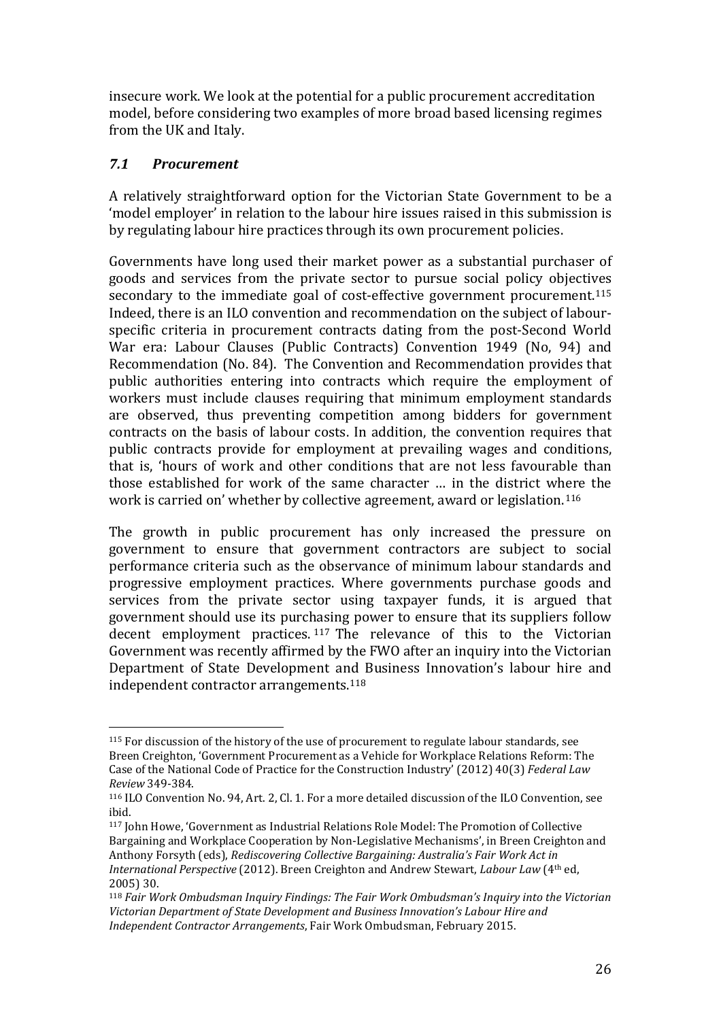insecure work. We look at the potential for a public procurement accreditation model, before considering two examples of more broad based licensing regimes from the UK and Italy.

### *7.1 Procurement*

A relatively straightforward option for the Victorian State Government to be a 'model employer' in relation to the labour hire issues raised in this submission is by regulating labour hire practices through its own procurement policies.

Governments have long used their market power as a substantial purchaser of goods and services from the private sector to pursue social policy objectives secondary to the immediate goal of cost-effective government procurement.[115](#page-27-0) Indeed, there is an ILO convention and recommendation on the subject of labourspecific criteria in procurement contracts dating from the post-Second World War era: Labour Clauses (Public Contracts) Convention 1949 (No, 94) and Recommendation (No. 84). The Convention and Recommendation provides that public authorities entering into contracts which require the employment of workers must include clauses requiring that minimum employment standards are observed, thus preventing competition among bidders for government contracts on the basis of labour costs. In addition, the convention requires that public contracts provide for employment at prevailing wages and conditions, that is, 'hours of work and other conditions that are not less favourable than those established for work of the same character … in the district where the work is carried on' whether by collective agreement, award or legislation.[116](#page-27-1)

The growth in public procurement has only increased the pressure on government to ensure that government contractors are subject to social performance criteria such as the observance of minimum labour standards and progressive employment practices. Where governments purchase goods and services from the private sector using taxpayer funds, it is argued that government should use its purc[has](#page-27-2)ing power to ensure that its suppliers follow decent employment practices. <sup>117</sup> The relevance of this to the Victorian Government was recently affirmed by the FWO after an inquiry into the Victorian Department of State Development and Business Innovation's labour hire and independent contractor arrangements.[118](#page-27-3)

<span id="page-27-0"></span><sup>&</sup>lt;sup>115</sup> For discussion of the history of the use of procurement to regulate labour standards, see Breen Creighton, 'Government Procurement as a Vehicle for Workplace Relations Reform: The Case of the National Code of Practice for the Construction Industry' (2012) 40(3) *Federal Law Review* 349-384. i<br>I

<span id="page-27-1"></span><sup>116</sup> ILO Convention No. 94, Art. 2, Cl. 1. For a more detailed discussion of the ILO Convention, see ibid.

<span id="page-27-2"></span><sup>117</sup> John Howe, 'Government as Industrial Relations Role Model: The Promotion of Collective Bargaining and Workplace Cooperation by Non-Legislative Mechanisms', in Breen Creighton and Anthony Forsyth (eds), *Rediscovering Collective Bargaining: Australia's Fair Work Act in International Perspective* (2012). Breen Creighton and Andrew Stewart, *Labour Law* (4th ed, 2005) 30.

<span id="page-27-3"></span><sup>118</sup> *Fair Work Ombudsman Inquiry Findings: The Fair Work Ombudsman's Inquiry into the Victorian Victorian Department of State Development and Business Innovation's Labour Hire and Independent Contractor Arrangements*, Fair Work Ombudsman, February 2015.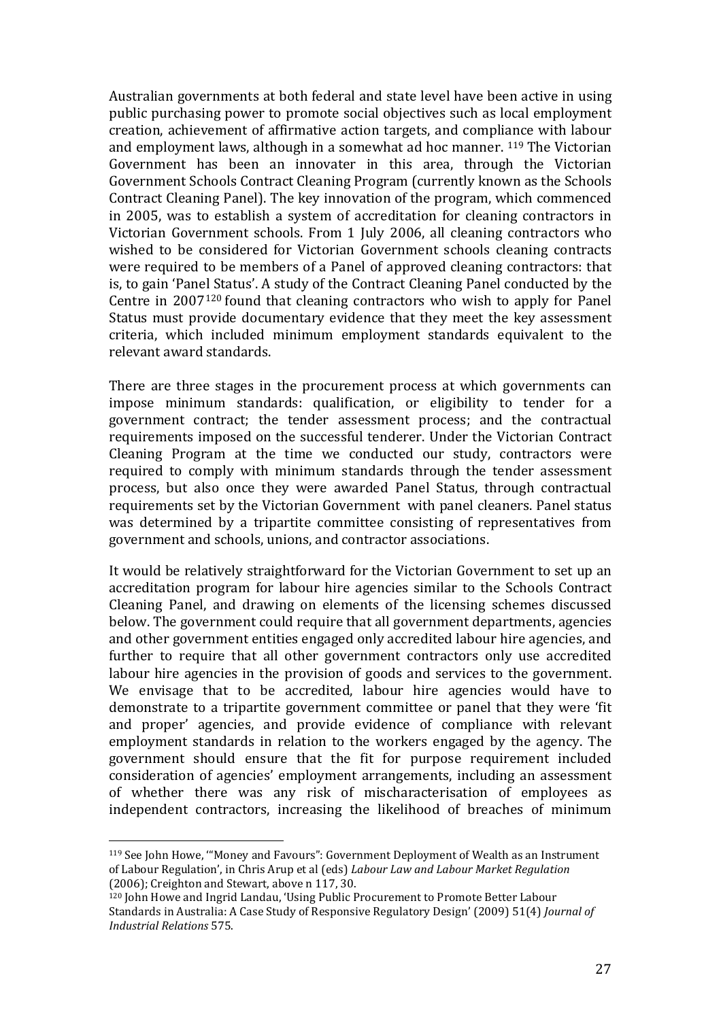Australian governments at both federal and state level have been active in using public purchasing power to promote social objectives such as local employment creation, achievement of affirmative action targets, and compliance with labour and employment laws, although in a somewhat ad hoc manner. [119](#page-28-0) The Victorian Government has been an innovater in this area, through the Victorian Government Schools Contract Cleaning Program (currently known as the Schools Contract Cleaning Panel). The key innovation of the program, which commenced in 2005, was to establish a system of accreditation for cleaning contractors in Victorian Government schools. From 1 July 2006, all cleaning contractors who wished to be considered for Victorian Government schools cleaning contracts were required to be members of a Panel of approved cleaning contractors: that is, to gain 'Panel Status'. A study of the Contract Cleaning Panel conducted by the Centre in 2007[120](#page-28-1) found that cleaning contractors who wish to apply for Panel Status must provide documentary evidence that they meet the key assessment criteria, which included minimum employment standards equivalent to the relevant award standards.

There are three stages in the procurement process at which governments can impose minimum standards: qualification, or eligibility to tender for a government contract; the tender assessment process; and the contractual requirements imposed on the successful tenderer. Under the Victorian Contract Cleaning Program at the time we conducted our study, contractors were required to comply with minimum standards through the tender assessment process, but also once they were awarded Panel Status, through contractual requirements set by the Victorian Government with panel cleaners. Panel status was determined by a tripartite committee consisting of representatives from government and schools, unions, and contractor associations.

It would be relatively straightforward for the Victorian Government to set up an accreditation program for labour hire agencies similar to the Schools Contract Cleaning Panel, and drawing on elements of the licensing schemes discussed below. The government could require that all government departments, agencies and other government entities engaged only accredited labour hire agencies, and further to require that all other government contractors only use accredited labour hire agencies in the provision of goods and services to the government. We envisage that to be accredited, labour hire agencies would have to demonstrate to a tripartite government committee or panel that they were 'fit and proper' agencies, and provide evidence of compliance with relevant employment standards in relation to the workers engaged by the agency. The government should ensure that the fit for purpose requirement included consideration of agencies' employment arrangements, including an assessment of whether there was any risk of mischaracterisation of employees as independent contractors, increasing the likelihood of breaches of minimum

<span id="page-28-0"></span><sup>119</sup> See John Howe, '"Money and Favours": Government Deployment of Wealth as an Instrument of Labour Regulation', in Chris Arup et al (eds) *Labour Law and Labour Market Regulation*  (2006); Creighton and Stewart, above n 117, 30. i<br>I

<span id="page-28-1"></span><sup>120</sup> John Howe and Ingrid Landau, 'Using Public Procurement to Promote Better Labour Standards in Australia: A Case Study of Responsive Regulatory Design' (2009) 51(4) *Journal of Industrial Relations* 575.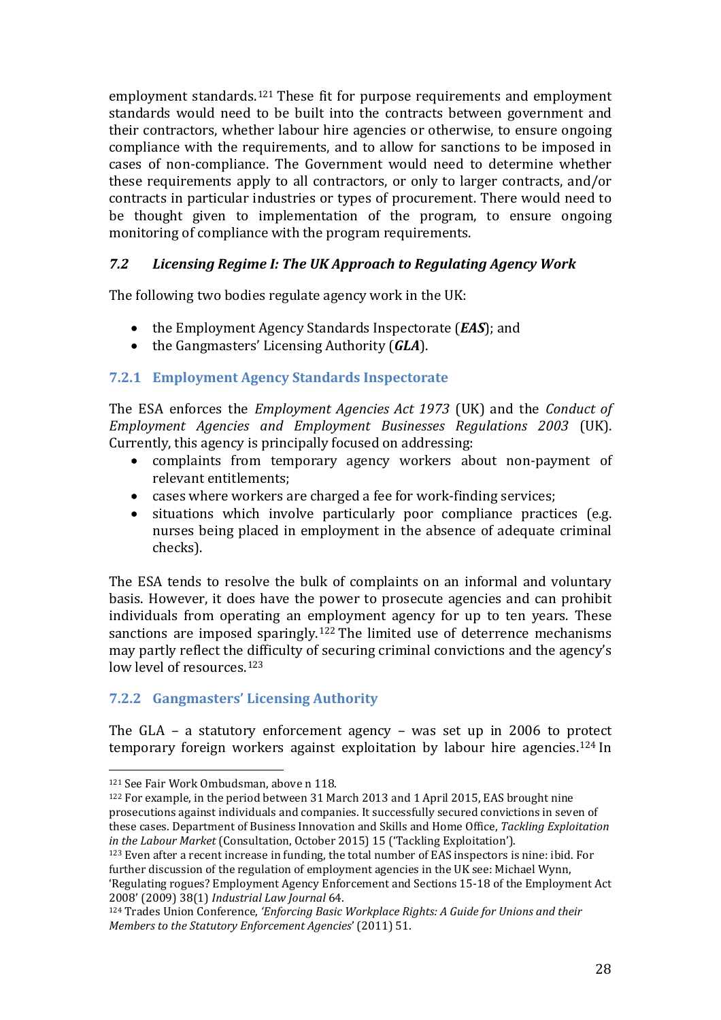employment standards.[121](#page-29-0) These fit for purpose requirements and employment standards would need to be built into the contracts between government and their contractors, whether labour hire agencies or otherwise, to ensure ongoing compliance with the requirements, and to allow for sanctions to be imposed in cases of non-compliance. The Government would need to determine whether these requirements apply to all contractors, or only to larger contracts, and/or contracts in particular industries or types of procurement. There would need to be thought given to implementation of the program, to ensure ongoing monitoring of compliance with the program requirements.

### *7.2 Licensing Regime I: The UK Approach to Regulating Agency Work*

The following two bodies regulate agency work in the UK:

- the Employment Agency Standards Inspectorate (*EAS*); and<br>• the Gangmasters' Licensing Authority (*GLA*).
- the Gangmasters' Licensing Authority (*GLA*).

### **7.2.1 Employment Agency Standards Inspectorate**

The ESA enforces the *Employment Agencies Act 1973* (UK) and the *Conduct of Employment Agencies and Employment Businesses Regulations 2003* (UK). Currently, this agency is principally focused on addressing:

- complaints from temporary agency workers about non-payment of relevant entitlements;
- cases where workers are charged a fee for work-finding services;
- situations which involve particularly poor compliance practices (e.g. nurses being placed in employment in the absence of adequate criminal checks).

The ESA tends to resolve the bulk of complaints on an informal and voluntary basis. However, it does have the power to prosecute agencies and can prohibit individuals from operating an employment agency for up to ten years. These sanctions are imposed sparingly.[122](#page-29-1) The limited use of deterrence mechanisms may partly reflect the difficulty of securing criminal convictions and the agency's low level of resources.<sup>[123](#page-29-2)</sup>

# **7.2.2 Gangmasters' Licensing Authority**

The GLA – a statutory enforcement agency – was set up in 2006 to protect temporary foreign workers against exploitation by labour hire agencies[.124](#page-29-3) In

<sup>121</sup> See Fair Work Ombudsman, above n 118. j

<span id="page-29-1"></span><span id="page-29-0"></span><sup>122</sup> For example, in the period between 31 March 2013 and 1 April 2015, EAS brought nine prosecutions against individuals and companies. It successfully secured convictions in seven of these cases. Department of Business Innovation and Skills and Home Office, *Tackling Exploitation in the Labour Market* (Consultation, October 2015) 15 ('Tackling Exploitation').

<span id="page-29-2"></span><sup>123</sup> Even after a recent increase in funding, the total number of EAS inspectors is nine: ibid. For further discussion of the regulation of employment agencies in the UK see: Michael Wynn, 'Regulating rogues? Employment Agency Enforcement and Sections 15-18 of the Employment Act 2008' (2009) 38(1) *Industrial Law Journal* 64.

<span id="page-29-3"></span><sup>124</sup> Trades Union Conference, *'Enforcing Basic Workplace Rights: A Guide for Unions and their Members to the Statutory Enforcement Agencies*' (2011) 51.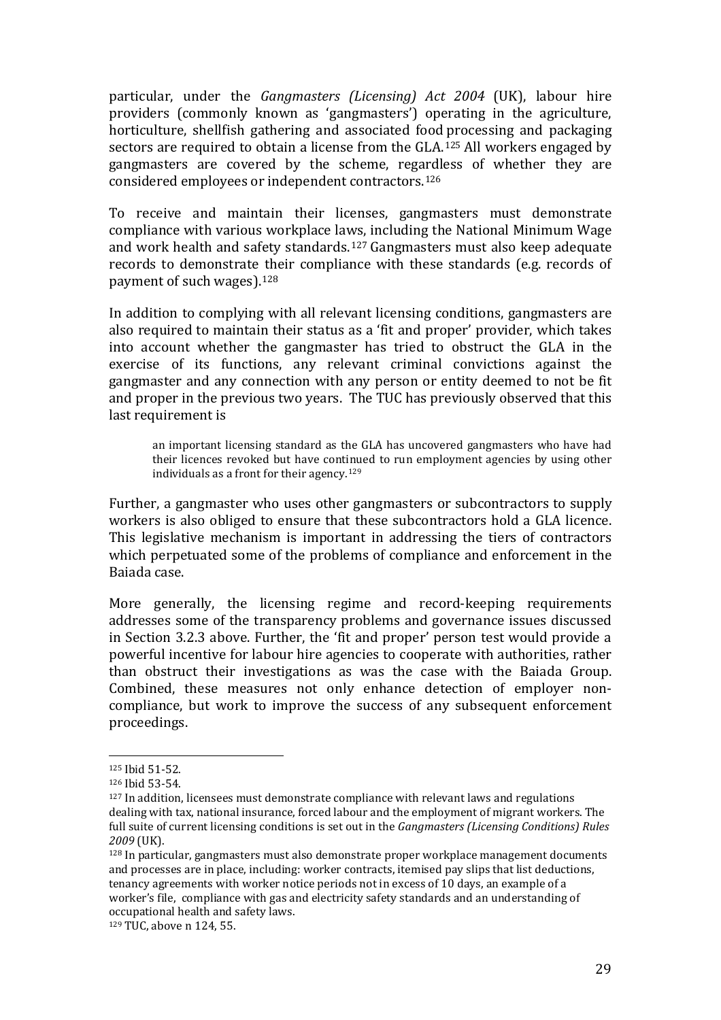particular, under the *Gangmasters (Licensing) Act 2004* (UK), labour hire providers (commonly known as 'gangmasters') operating in the agriculture, horticulture, shellfish gathering and associated food processing and packaging sectors are required to obtain a license from the GLA.[125](#page-30-0) All workers engaged by gangmasters are covered by the scheme, regardless of whether they are considered employees or independent contractors.[126](#page-30-1)

To receive and maintain their licenses, gangmasters must demonstrate compliance with various workplace laws, including the National Minimum Wage and work health and safety standards.[127](#page-30-2) Gangmasters must also keep adequate records to demonstrate their compliance with these standards (e.g. records of payment of such wages).[128](#page-30-3)

In addition to complying with all relevant licensing conditions, gangmasters are also required to maintain their status as a 'fit and proper' provider, which takes into account whether the gangmaster has tried to obstruct the GLA in the exercise of its functions, any relevant criminal convictions against the gangmaster and any connection with any person or entity deemed to not be fit and proper in the previous two years. The TUC has previously observed that this last requirement is

an important licensing standard as the GLA has uncovered gangmasters who have had their licences revoked but have continued to run employment agencies by using other individuals as a front for their agency.[129](#page-30-4)

Further, a gangmaster who uses other gangmasters or subcontractors to supply workers is also obliged to ensure that these subcontractors hold a GLA licence. This legislative mechanism is important in addressing the tiers of contractors which perpetuated some of the problems of compliance and enforcement in the Baiada case.

More generally, the licensing regime and record-keeping requirements addresses some of the transparency problems and governance issues discussed in Section 3.2.3 above. Further, the 'fit and proper' person test would provide a powerful incentive for labour hire agencies to cooperate with authorities, rather than obstruct their investigations as was the case with the Baiada Group. Combined, these measures not only enhance detection of employer noncompliance, but work to improve the success of any subsequent enforcement proceedings.

<sup>125</sup> Ibid 51-52. j

<span id="page-30-1"></span><span id="page-30-0"></span><sup>126</sup> Ibid 53-54.

<span id="page-30-2"></span> $127$  In addition, licensees must demonstrate compliance with relevant laws and regulations dealing with tax, national insurance, forced labour and the employment of migrant workers. The full suite of current licensing conditions is set out in the *Gangmasters (Licensing Conditions) Rules 2009* (UK).

<span id="page-30-3"></span><sup>128</sup> In particular, gangmasters must also demonstrate proper workplace management documents and processes are in place, including: worker contracts, itemised pay slips that list deductions, tenancy agreements with worker notice periods not in excess of 10 days, an example of a worker's file, compliance with gas and electricity safety standards and an understanding of occupational health and safety laws.

<span id="page-30-4"></span><sup>129</sup> TUC, above n 124, 55.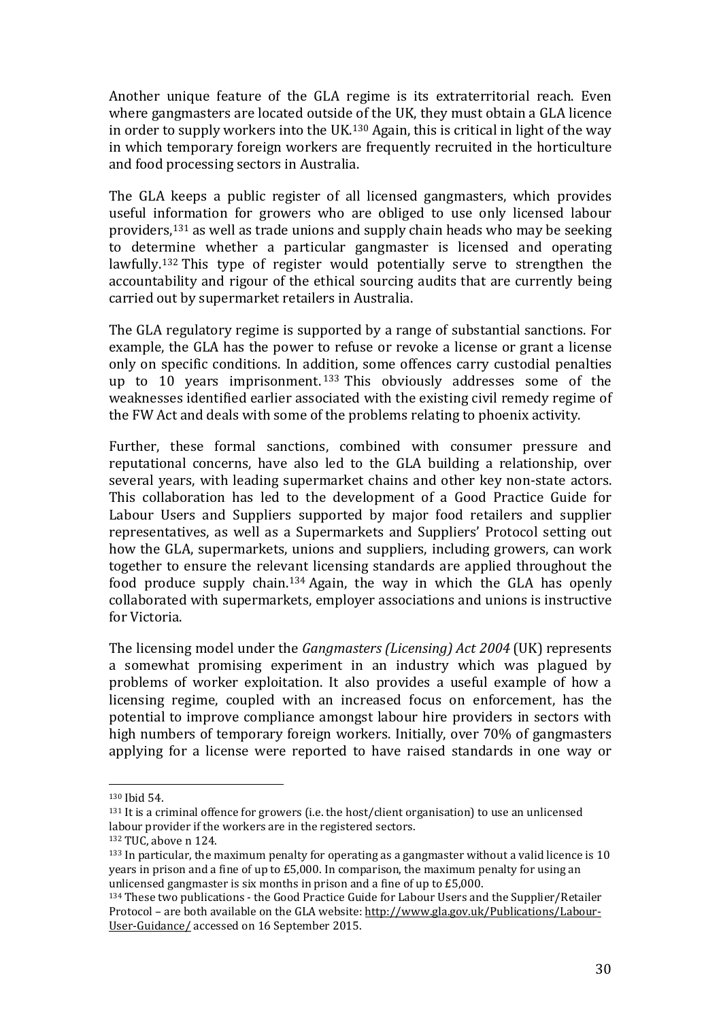Another unique feature of the GLA regime is its extraterritorial reach. Even where gangmasters are located outside of the UK, they must obtain a GLA licence in order to supply workers into the UK.[130](#page-31-0) Again, this is critical in light of the way in which temporary foreign workers are frequently recruited in the horticulture and food processing sectors in Australia.

The GLA keeps a public register of all licensed gangmasters, which provides useful information for growers who are obliged to use only licensed labour providers,[131](#page-31-1) as well as trade unions and supply chain heads who may be seeking to determine whether a particular gangmaster is licensed and operating lawfully.[132](#page-31-2) This type of register would potentially serve to strengthen the accountability and rigour of the ethical sourcing audits that are currently being carried out by supermarket retailers in Australia.

The GLA regulatory regime is supported by a range of substantial sanctions. For example, the GLA has the power to refuse or revoke a license or grant a license only on specific conditions. In ad[diti](#page-31-3)on, some offences carry custodial penalties up to 10 years imprisonment. <sup>133</sup> This obviously addresses some of the weaknesses identified earlier associated with the existing civil remedy regime of the FW Act and deals with some of the problems relating to phoenix activity.

Further, these formal sanctions, combined with consumer pressure and reputational concerns, have also led to the GLA building a relationship, over several years, with leading supermarket chains and other key non-state actors. This collaboration has led to the development of a Good Practice Guide for Labour Users and Suppliers supported by major food retailers and supplier representatives, as well as a Supermarkets and Suppliers' Protocol setting out how the GLA, supermarkets, unions and suppliers, including growers, can work together to ensure the relevant licensing standards are applied throughout the food produce supply chain.[134](#page-31-4) Again, the way in which the GLA has openly collaborated with supermarkets, employer associations and unions is instructive for Victoria.

The licensing model under the *Gangmasters (Licensing) Act 2004* (UK) represents a somewhat promising experiment in an industry which was plagued by problems of worker exploitation. It also provides a useful example of how a licensing regime, coupled with an increased focus on enforcement, has the potential to improve compliance amongst labour hire providers in sectors with high numbers of temporary foreign workers. Initially, over 70% of gangmasters applying for a license were reported to have raised standards in one way or

 $130$  Ibid 54. i<br>I

<span id="page-31-1"></span><span id="page-31-0"></span><sup>131</sup> It is a criminal offence for growers (i.e. the host/client organisation) to use an unlicensed labour provider if the workers are in the registered sectors.

<span id="page-31-2"></span><sup>132</sup> TUC, above n 124.

<span id="page-31-3"></span><sup>133</sup> In particular, the maximum penalty for operating as a gangmaster without a valid licence is 10 years in prison and a fine of up to £5,000. In comparison, the maximum penalty for using an unlicensed gangmaster is six months in prison and a fine of up to £5,000.

<span id="page-31-4"></span><sup>134</sup> These two publications - the Good Practice Guide for Labour Users and the Supplier/Retailer Protocol – are both available on the GLA website[: http://www.gla.gov.uk/Publications/Labour-](http://www.gla.gov.uk/Publications/Labour-User-Guidance/)[User-Guidance/](http://www.gla.gov.uk/Publications/Labour-User-Guidance/) accessed on 16 September 2015.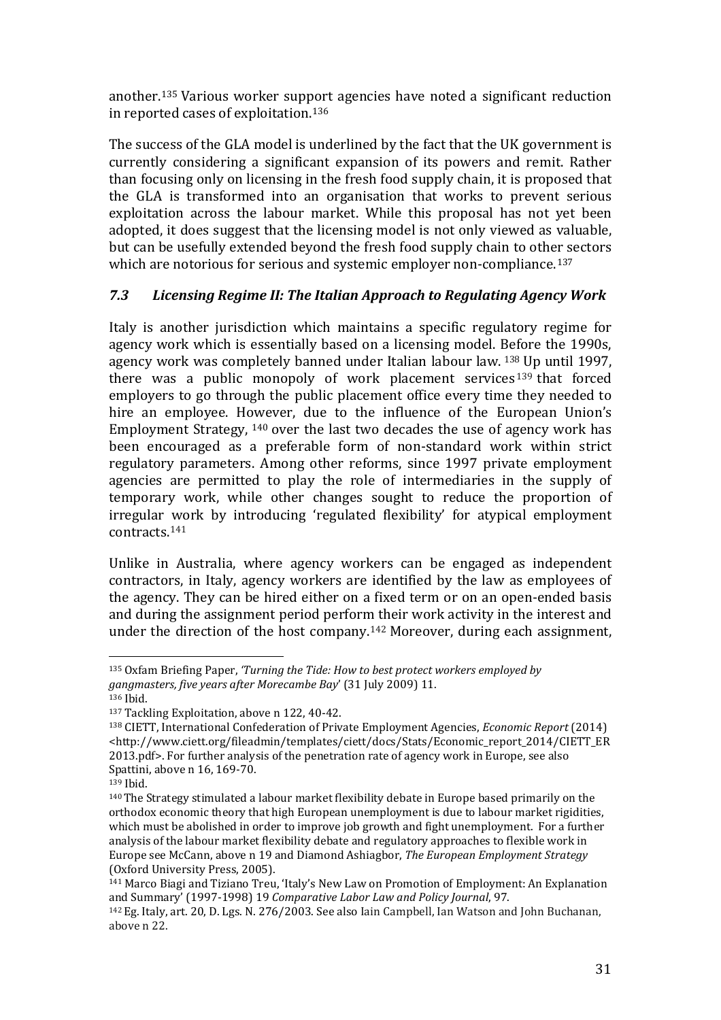another.[135](#page-32-0) Various worker support agencies have noted a significant reduction in reported cases of exploitation.[136](#page-32-1)

The success of the GLA model is underlined by the fact that the UK government is currently considering a significant expansion of its powers and remit. Rather than focusing only on licensing in the fresh food supply chain, it is proposed that the GLA is transformed into an organisation that works to prevent serious exploitation across the labour market. While this proposal has not yet been adopted, it does suggest that the licensing model is not only viewed as valuable, but can be usefully extended beyond the fresh food supply chain to other sectors which are notorious for serious and systemic employer non-compliance.<sup>[137](#page-32-2)</sup>

### *7.3 Licensing Regime II: The Italian Approach to Regulating Agency Work*

Italy is another jurisdiction which maintains a specific regulatory regime for agency work which is essentially based on a licensing model. [Bef](#page-32-3)ore the 1990s, agency work was completely banned under Italian labour law. <sup>138</sup> Up until 1997, there was a public monopoly of work placement services <sup>139</sup> that forced employers to go through the public placement office every time [the](#page-32-4)y needed to hire an employee. H[owe](#page-32-5)ver, due to the influence of the European Union's Employment Strategy, <sup>140</sup> over the last two decades the use of agency work has been encouraged as a preferable form of non-standard work within strict regulatory parameters. Among other reforms, since 1997 private employment agencies are permitted to play the role of intermediaries in the supply of temporary work, while other changes sought to reduce the proportion of irregular work by introducing 'regulated flexibility' for atypical employment contracts.[141](#page-32-6)

Unlike in Australia, where agency workers can be engaged as independent contractors, in Italy, agency workers are identified by the law as employees of the agency. They can be hired either on a fixed term or on an open-ended basis and during the assignment period perform their work activity in the interest and under the direction of the host company.[142](#page-32-7) Moreover, during each assignment,

<span id="page-32-0"></span><sup>135</sup> Oxfam Briefing Paper, *'Turning the Tide: How to best protect workers employed by gangmasters, five years after Morecambe Bay*' (31 July 2009) 11. j

<span id="page-32-1"></span><sup>136</sup> Ibid.

<sup>137</sup> Tackling Exploitation, above n 122, 40-42.

<span id="page-32-3"></span><span id="page-32-2"></span><sup>138</sup> CIETT, International Confederation of Private Employment Agencies, *Economic Report* (2014) <http://www.ciett.org/fileadmin/templates/ciett/docs/Stats/Economic\_report\_2014/CIETT\_ER 2013.pdf>. For further analysis of the penetration rate of agency work in Europe, see also Spattini, above n 16, 169-70. 139 Ibid.

<span id="page-32-5"></span><span id="page-32-4"></span><sup>140</sup>The Strategy stimulated a labour market flexibility debate in Europe based primarily on the orthodox economic theory that high European unemployment is due to labour market rigidities, which must be abolished in order to improve job growth and fight unemployment. For a further analysis of the labour market flexibility debate and regulatory approaches to flexible work in Europe see McCann, above n 19 and Diamond Ashiagbor, *The European Employment Strategy* (Oxford University Press, 2005).

<span id="page-32-6"></span><sup>141</sup> Marco Biagi and Tiziano Treu, 'Italy's New Law on Promotion of Employment: An Explanation and Summary' (1997-1998) 19 *Comparative Labor Law and Policy Journal*, 97.

<span id="page-32-7"></span><sup>142</sup> Eg. Italy, art. 20, D. Lgs. N. 276/2003. See also Iain Campbell, Ian Watson and John Buchanan, above n 22.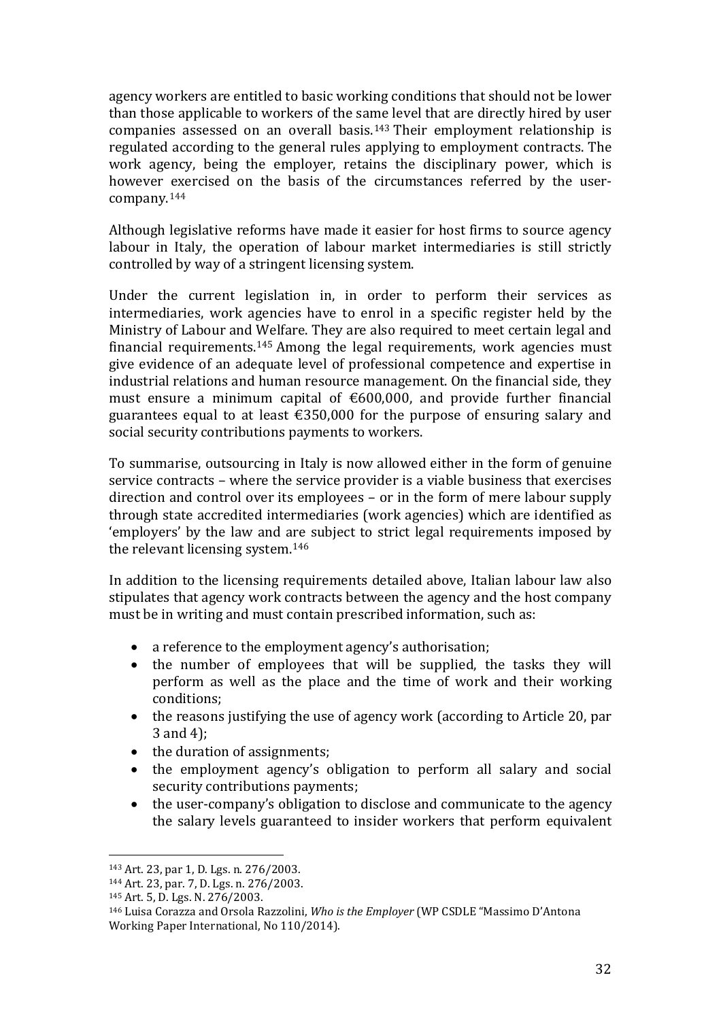agency workers are entitled to basic working conditions that should not be lower than those applicable to workers of the same level that are directly hired by user companies assessed on an overall basis.[143](#page-33-0) Their employment relationship is regulated according to the general rules applying to employment contracts. The work agency, being the employer, retains the disciplinary power, which is however exercised on the basis of the circumstances referred by the usercompany.[144](#page-33-1)

Although legislative reforms have made it easier for host firms to source agency labour in Italy, the operation of labour market intermediaries is still strictly controlled by way of a stringent licensing system.

Under the current legislation in, in order to perform their services as intermediaries, work agencies have to enrol in a specific register held by the Ministry of Labour and [We](#page-33-2)lfare. They are also required to meet certain legal and financial requirements. <sup>145</sup> Among the legal requirements, work agencies must give evidence of an adequate level of professional competence and expertise in industrial relations and human resource management. On the financial side, they must ensure a minimum capital of €600,000, and provide further financial guarantees equal to at least  $\epsilon$ 350,000 for the purpose of ensuring salary and social security contributions payments to workers.

To summarise, outsourcing in Italy is now allowed either in the form of genuine service contracts – where the service provider is a viable business that exercises direction and control over its employees – or in the form of mere labour supply through state accredited intermediaries (work agencies) which are identified as 'employers' by the law and are subject to strict legal requirements imposed by the relevant licensing system.[146](#page-33-3)

In addition to the licensing requirements detailed above, Italian labour law also stipulates that agency work contracts between the agency and the host company must be in writing and must contain prescribed information, such as:

- a reference to the employment agency's authorisation;
- the number of employees that will be supplied, the tasks they will perform as well as the place and the time of work and their working conditions;
- the reasons justifying the use of agency work (according to Article 20, par 3 and 4);
- the duration of assignments;<br>• the employment agency's of
- the employment agency's obligation to perform all salary and social security contributions payments;
- the user-company's obligation to disclose and communicate to the agency the salary levels guaranteed to insider workers that perform equivalent

<sup>143</sup> Art. 23, par 1, D. Lgs. n. 276/2003. i<br>I

<span id="page-33-1"></span><span id="page-33-0"></span><sup>144</sup> Art. 23, par. 7, D. Lgs. n. 276/2003.

<span id="page-33-2"></span><sup>145</sup> Art. 5, D. Lgs. N. 276/2003.

<span id="page-33-3"></span><sup>146</sup> Luisa Corazza and Orsola Razzolini, *Who is the Employer* (WP CSDLE "Massimo D'Antona Working Paper International, No 110/2014).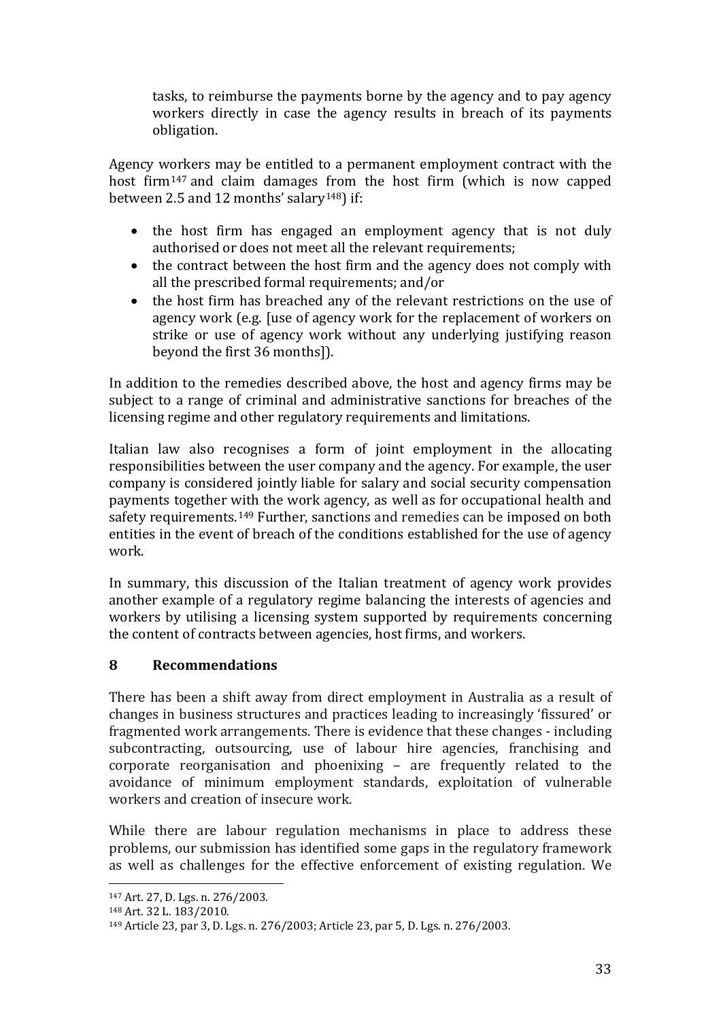tasks, to reimburse the payments borne by the agency and to pay agency workers directly in case the agency results in breach of its payments obligation.

Agency workers may be entitled to a permanent employment contract with the host firm[147](#page-34-0) and claim damages from the host firm (which is now capped between 2.5 and 12 months' salary<sup>[148](#page-34-1)</sup>) if:

- the host firm has engaged an employment agency that is not duly authorised or does not meet all the relevant requirements;
- the contract between the host firm and the agency does not comply with all the prescribed formal requirements; and/or
- the host firm has breached any of the relevant restrictions on the use of agency work (e.g. [use of agency work for the replacement of workers on strike or use of agency work without any underlying justifying reason beyond the first 36 months]).

In addition to the remedies described above, the host and agency firms may be subject to a range of criminal and administrative sanctions for breaches of the licensing regime and other regulatory requirements and limitations.

Italian law also recognises a form of joint employment in the allocating responsibilities between the user company and the agency. For example, the user company is considered jointly liable for salary and social security compensation payments together with the work agency, as well as for occupational health and safety requirements.<sup>[149](#page-34-2)</sup> Further, sanctions and remedies can be imposed on both entities in the event of breach of the conditions established for the use of agency work.

In summary, this discussion of the Italian treatment of agency work provides another example of a regulatory regime balancing the interests of agencies and workers by utilising a licensing system supported by requirements concerning the content of contracts between agencies, host firms, and workers.

# **8 Recommendations**

There has been a shift away from direct employment in Australia as a result of changes in business structures and practices leading to increasingly 'fissured' or fragmented work arrangements. There is evidence that these changes - including subcontracting, outsourcing, use of labour hire agencies, franchising and corporate reorganisation and phoenixing – are frequently related to the avoidance of minimum employment standards, exploitation of vulnerable workers and creation of insecure work.

While there are labour regulation mechanisms in place to address these problems, our submission has identified some gaps in the regulatory framework as well as challenges for the effective enforcement of existing regulation. We

<span id="page-34-0"></span><sup>147</sup> Art. 27, D. Lgs. n. 276/2003. i<br>I

<span id="page-34-1"></span><sup>148</sup> Art. 32 L. 183/2010.

<span id="page-34-2"></span><sup>149</sup> Article 23, par 3, D. Lgs. n. 276/2003; Article 23, par 5, D. Lgs. n. 276/2003.